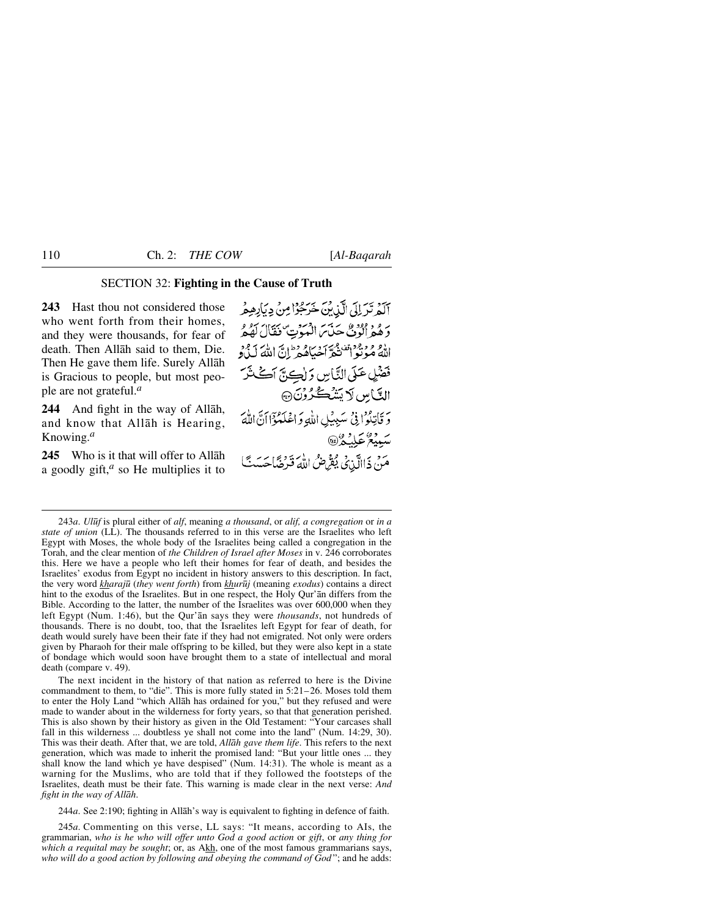# SECTION 32: **Fighting in the Cause of Truth**

**243** Hast thou not considered those who went forth from their homes, and they were thousands, for fear of death. Then Allåh said to them, Die. Then He gave them life. Surely Allåh is Gracious to people, but most people are not grateful.*<sup>a</sup>*

**244** And fight in the way of Allåh, and know that Allåh is Hearing, Knowing.*<sup>a</sup>*

**245** Who is it that will offer to Allåh a goodly gift,*<sup>a</sup>* so He multiplies it to أكَيْرِ تَدَلِلْي الَّذِينَ خَرَجُوْا مِنْ دِيَادِهِ هُمْهِ وَهُمْ الْوُنْ حَنَّ الْعَوْتِ فَقَالَ لَهُمْ اللهُ مُؤنَّوْنَ فَيَ َحْيَاهُ وَطَنَّ اللَّهَ كَيْ وَ فَضْلٍ عَلَى النَّاسِ وَ لِڪِنَّ اَڪْثَرَ الَّيَّاسِ لَا يَتَنْكُّرُونَ ۞ وَ فَأَتِلُوْا فِي مَبِينِكِ اللَّهِ وَ اعْلَمْؤَانَ اللَّهَ سَبِيعٌ عَلِيْكُمْ لَاْ مَنْ ذَاالَّذِيْ يُقِرِّضُ اللَّهَ قَرِضًا حَسَبٌ }

The next incident in the history of that nation as referred to here is the Divine commandment to them, to "die". This is more fully stated in 5:21–26. Moses told them to enter the Holy Land "which Allåh has ordained for you," but they refused and were made to wander about in the wilderness for forty years, so that that generation perished. This is also shown by their history as given in the Old Testament: "Your carcases shall fall in this wilderness ... doubtless ye shall not come into the land" (Num. 14:29, 30). This was their death. After that, we are told, *Allåh gave them life*. This refers to the next generation, which was made to inherit the promised land: "But your little ones ... they shall know the land which ye have despised" (Num. 14:31). The whole is meant as a warning for the Muslims, who are told that if they followed the footsteps of the Israelites, death must be their fate. This warning is made clear in the next verse: *And fight in the way of Allåh*.

244*a*. See 2:190; fighting in Allåh's way is equivalent to fighting in defence of faith.

245*a*. Commenting on this verse, LL says: "It means, according to AIs, the grammarian, *who is he who will offer unto God a good action* or *gift*, or *any thing for which a requital may be sought*; or, as Akh, one of the most famous grammarians says, *who will do a good action by following and obeying the command of God* "; and he adds:

<sup>243</sup>*a*. *Ul∂f* is plural either of *alf*, meaning *a thousand*, or *alif, a congregation* or *in a state of union* (LL). The thousands referred to in this verse are the Israelites who left Egypt with Moses, the whole body of the Israelites being called a congregation in the Torah, and the clear mention of *the Children of Israel after Moses* in v. 246 corroborates this. Here we have a people who left their homes for fear of death, and besides the Israelites' exodus from Egypt no incident in history answers to this description. In fact, the very word *kharaj∂* (*they went forth*) from *khur∂j* (meaning *exodus*) contains a direct hint to the exodus of the Israelites. But in one respect, the Holy Qur'ån differs from the Bible. According to the latter, the number of the Israelites was over 600,000 when they left Egypt (Num. 1:46), but the Qur'ån says they were *thousands*, not hundreds of thousands. There is no doubt, too, that the Israelites left Egypt for fear of death, for death would surely have been their fate if they had not emigrated. Not only were orders given by Pharaoh for their male offspring to be killed, but they were also kept in a state of bondage which would soon have brought them to a state of intellectual and moral death (compare v. 49).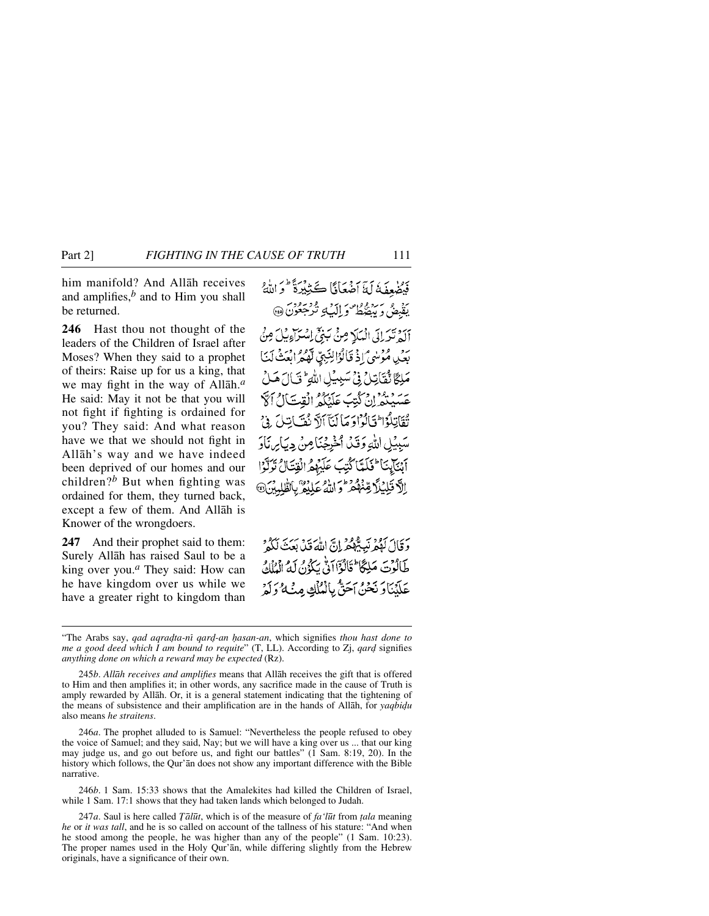him manifold? And Allåh receives and amplifies, $<sup>b</sup>$  and to Him you shall</sup> be returned.

**246** Hast thou not thought of the leaders of the Children of Israel after Moses? When they said to a prophet of theirs: Raise up for us a king, that we may fight in the way of Allåh.*<sup>a</sup>* He said: May it not be that you will not fight if fighting is ordained for you? They said: And what reason have we that we should not fight in Allåh's way and we have indeed been deprived of our homes and our children?*<sup>b</sup>* But when fighting was ordained for them, they turned back, except a few of them. And Allåh is Knower of the wrongdoers.

**247** And their prophet said to them: Surely Allåh has raised Saul to be a king over you.*<sup>a</sup>* They said: How can he have kingdom over us while we have a greater right to kingdom than فَيُضْعِفَهُ لَةَ أَضْعَانًا كَثِيْرَةً \* وَاللَّهُ يَقْبِضُ وَبَيْضَطُ وَإِلَيْكِ تُرْجَعُونَ ۞

آلَهُ تَدَلِّلَى الْمَلَا مِنْ يَبِيِّ إِسْرَاءِيُلَ مِنْ بَعْدِ، مُؤْسَى أَذْ قَالُوْالِنَبِيِّ لَهُمُ ابْعَثْ لَنَا مَلِكًا تَقَاتِلُ فِي سَبِيلِ اللَّهِ ۚ تَبَالَ هَـلُ بِرِ دِيْنِ وَعَ بِهِ بِهِ الْقِتَالُ أَلَّا تْقَاتِلُوۡا تَآلُوۡاوَ مَاۤ لَنَآ ٱلاَّ نُفَسَاتِيلَ ۚ وۡيَٰ سَبِيلِ اللَّهِ وَقَدْ أَخْرِجْنَامِنْ دِيَابِرِ، نَادَ أَبْنَابِنَا كَلَمَّا كُتِبَ عَلَيْهِمُ الْقِتَالُ تَرَكَّوْا الآقَلِيْلَا مِّنْهُمْ وَاللَّهُ عَلَيْهُ ۚ بِالظُّلِيبُنَ﴾

وَقَالَ لَوْكُمْ نَبِيٌّ وَكُمْ إِنَّ اللَّهَ قَبْيٌ بَيْتَ نَكُوْنَ طَالُوْتَ مَلِكًا ۖ قَالُوْٓااَ لِّيْ يَكُوْنُ لَهُ ٱلْمُلْكُ بِرَبِّنَاوَ نَحْنُ اَحَقُّ بِالْمُلْكِ مِنْهُ وَلَمْ

246*a*. The prophet alluded to is Samuel: "Nevertheless the people refused to obey the voice of Samuel; and they said, Nay; but we will have a king over us ... that our king may judge us, and go out before us, and fight our battles" (1 Sam. 8:19, 20). In the history which follows, the Qur'ån does not show any important difference with the Bible narrative.

246*b*. 1 Sam. 15:33 shows that the Amalekites had killed the Children of Israel, while 1 Sam. 17:1 shows that they had taken lands which belonged to Judah.

<sup>&</sup>quot;The Arabs say, *qad aqradta-ni qard-an hasan-an*, which signifies *thou hast done to me a good deed which I am bound to requite*" (T, LL). According to Zj, *qard* signifies *anything done on which a reward may be expected* (Rz).

<sup>245</sup>*b*. *Allåh receives and amplifies* means that Allåh receives the gift that is offered to Him and then amplifies it; in other words, any sacrifice made in the cause of Truth is amply rewarded by Allåh. Or, it is a general statement indicating that the tightening of the means of subsistence and their amplification are in the hands of Allah, for *yaqbidu* also means *he straitens*.

<sup>247</sup>*a*. Saul is here called *Tālūt*, which is of the measure of *fa* '*lūt* from *tala* meaning *he* or *it was tall*, and he is so called on account of the tallness of his stature: "And when he stood among the people, he was higher than any of the people" (1 Sam. 10:23). The proper names used in the Holy Qur'ån, while differing slightly from the Hebrew originals, have a significance of their own.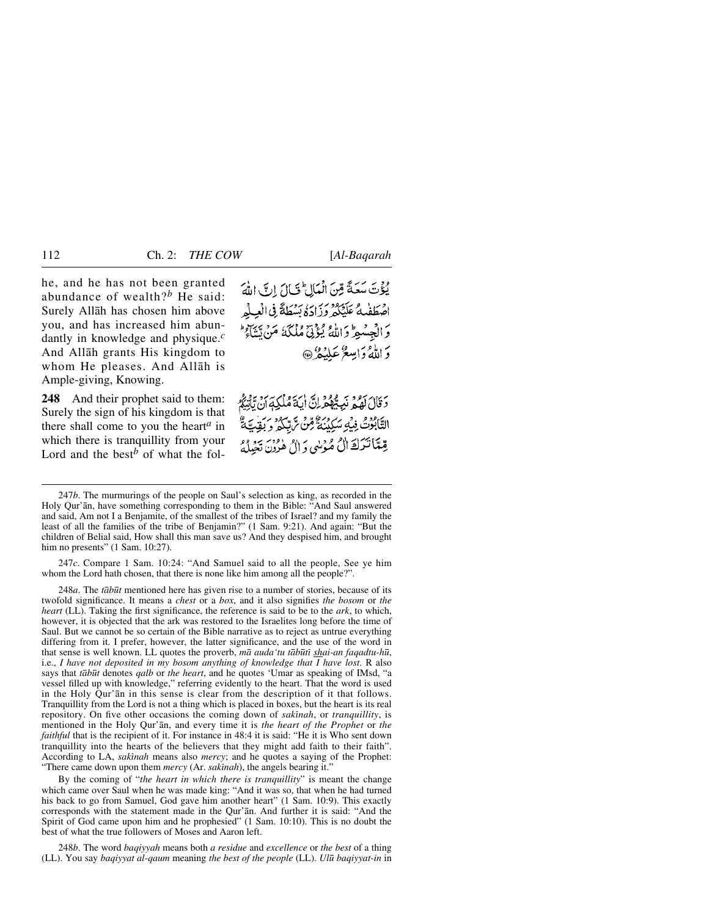he, and he has not been granted abundance of wealth?*<sup>b</sup>* He said: Surely Allåh has chosen him above you, and has increased him abundantly in knowledge and physique.*<sup>c</sup>* And Allåh grants His kingdom to whom He pleases. And Allåh is Ample-giving, Knowing.

**248** And their prophet said to them: Surely the sign of his kingdom is that there shall come to you the heart*<sup>a</sup>* in which there is tranquillity from your Lord and the best<sup>b</sup> of what the folيُؤْتَ سَعَةً مِّنَ الْمَالِ ۚ قَالَ إِنَّ اللَّهَ اصْطَفْئُهُ عَلَيْكُمْ وَزَادَةُ بَسْطَةً فِي الْعِيلُو وَالْجِسْعِ وَاللَّهُ يُؤْتِيَّ مُلْكَةُ مَنْ يَتَنَاءُ ۖ دَ اللَّهُ دَامِيعٌ عَلَيْكُمْ ۞

دَ قَالَ لَهُ مَرْ نَبِيٌّ قَمْ إِنَّ إِيهَ مُلْكِهَ أَنْ يَأْتِيَكُمْ التَّابُوتُ فِيهِ سَكِينَهُ مِّنْ ثُّرِيبِهِ وَ رَبِّهِ بَيْنَ ثُمَّ قِيمًا تَتَرَكَ الْ مُؤْسَى دَ الْ هُدُونِ تَعِيلُهُ

247*c*. Compare 1 Sam. 10:24: "And Samuel said to all the people, See ye him whom the Lord hath chosen, that there is none like him among all the people?".

248*a*. The *tābūt* mentioned here has given rise to a number of stories, because of its twofold significance. It means a *chest* or a *box*, and it also signifies *the bosom* or *the heart* (LL). Taking the first significance, the reference is said to be to the *ark*, to which, however, it is objected that the ark was restored to the Israelites long before the time of Saul. But we cannot be so certain of the Bible narrative as to reject as untrue everything differing from it. I prefer, however, the latter significance, and the use of the word in that sense is well known. LL quotes the proverb, *må auda'tu tåb∂tß shai-an faqadtu-h∂*, i.e., *I have not deposited in my bosom anything of knowledge that I have lost*. R also says that *tåb∂t* denotes *qalb* or *the heart*, and he quotes 'Umar as speaking of IMsd, "a vessel filled up with knowledge," referring evidently to the heart. That the word is used in the Holy Qur'ån in this sense is clear from the description of it that follows. Tranquillity from the Lord is not a thing which is placed in boxes, but the heart is its real repository. On five other occasions the coming down of *sakinah*, or *tranquillity*, is mentioned in the Holy Qur'ån, and every time it is *the heart of the Prophet* or *the faithful* that is the recipient of it. For instance in 48:4 it is said: "He it is Who sent down tranquillity into the hearts of the believers that they might add faith to their faith". According to LA, *sakinah* means also *mercy*; and he quotes a saying of the Prophet: "There came down upon them *mercy* (Ar. *sakinah*), the angels bearing it."

By the coming of "*the heart in which there is tranquillity*" is meant the change which came over Saul when he was made king: "And it was so, that when he had turned his back to go from Samuel, God gave him another heart" (1 Sam. 10:9). This exactly corresponds with the statement made in the Qur'ån. And further it is said: "And the Spirit of God came upon him and he prophesied" (1 Sam. 10:10). This is no doubt the best of what the true followers of Moses and Aaron left.

248*b*. The word *baqiyyah* means both *a residue* and *excellence* or *the best* of a thing (LL). You say *baqiyyat al-qaum* meaning *the best of the people* (LL). *Ul∂ baqiyyat-in* in

<sup>247</sup>*b*. The murmurings of the people on Saul's selection as king, as recorded in the Holy Qur'ån, have something corresponding to them in the Bible: "And Saul answered and said, Am not I a Benjamite, of the smallest of the tribes of Israel? and my family the least of all the families of the tribe of Benjamin?" (1 Sam. 9:21). And again: "But the children of Belial said, How shall this man save us? And they despised him, and brought him no presents" (1 Sam. 10:27).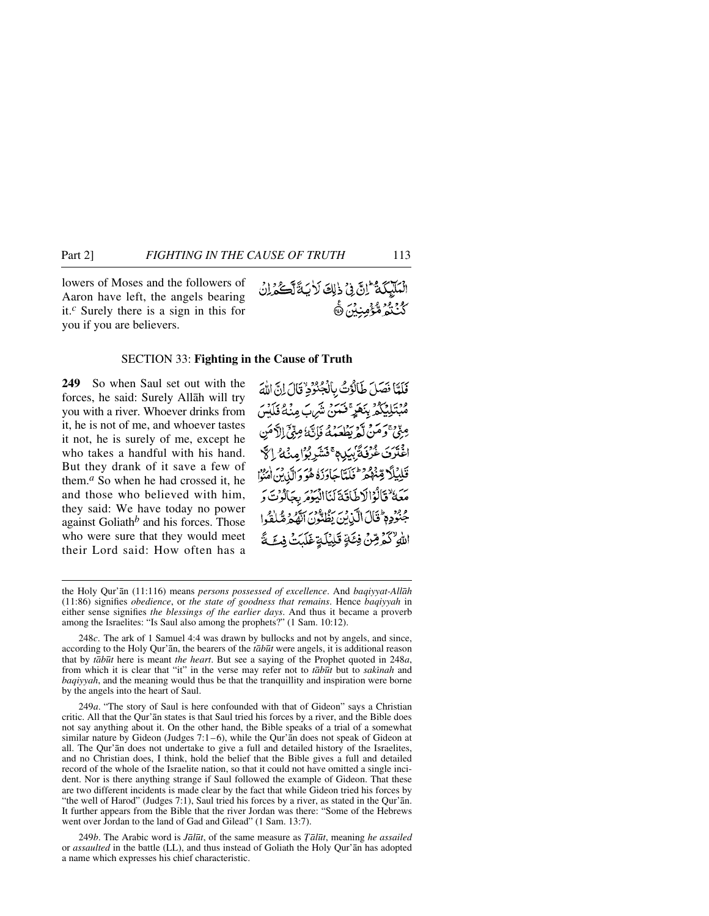lowers of Moses and the followers of Aaron have left, the angels bearing it.*<sup>c</sup>* Surely there is a sign in this for you if you are believers.

#### SECTION 33: **Fighting in the Cause of Truth**

**249** So when Saul set out with the forces, he said: Surely Allåh will try you with a river. Whoever drinks from it, he is not of me, and whoever tastes it not, he is surely of me, except he who takes a handful with his hand. But they drank of it save a few of them.*<sup>a</sup>* So when he had crossed it, he and those who believed with him, they said: We have today no power against Goliath*<sup>b</sup>* and his forces. Those who were sure that they would meet their Lord said: How often has a

249*a*. "The story of Saul is here confounded with that of Gideon" says a Christian critic. All that the Qur'ån states is that Saul tried his forces by a river, and the Bible does not say anything about it. On the other hand, the Bible speaks of a trial of a somewhat similar nature by Gideon (Judges 7:1–6), while the Qur'ån does not speak of Gideon at all. The Qur'ån does not undertake to give a full and detailed history of the Israelites, and no Christian does, I think, hold the belief that the Bible gives a full and detailed record of the whole of the Israelite nation, so that it could not have omitted a single incident. Nor is there anything strange if Saul followed the example of Gideon. That these are two different incidents is made clear by the fact that while Gideon tried his forces by "the well of Harod" (Judges 7:1), Saul tried his forces by a river, as stated in the Qur'ån. It further appears from the Bible that the river Jordan was there: "Some of the Hebrews went over Jordan to the land of Gad and Gilead" (1 Sam. 13:7).

249*b*. The Arabic word is *Jål∂t*, of the same measure as *Ôål∂t*, meaning *he assailed* or *assaulted* in the battle (LL), and thus instead of Goliath the Holy Qur'ån has adopted a name which expresses his chief characteristic.

فَلَمَّا فَصَلَ طَالَوْتُ بِالْجُنُوْدِ قَالَ إِنَّ اللَّهَ <sup>ۄڔ</sup>ؾؘڸؽؙػۿڔڹػڡؘٟڔۣ<sup>ۦ</sup>ۧڂٮڽۘ؞ۺؘڸؼڝؽؙۿٷؘڸؘۺ مِنِّيٌّ وَمَنْ لَّمْ يَطْعَعُكُمْ فَإِنَّكَ مِنِّيٍّ الدَّمَنِ اءْتَرَىٰ غُرُفَةً بِيَلِ مِ ۚ فَشَرِبُوْ امِنْهُ ۚ إِنَّ قَلِيْلًا قِبْلُوْمِ طَهَيًّا جَاوَزَهُ هُوَ وَالَّذِينَ امْنُوْا مَعَهُ فَالْوَالَاطَاقَةَ لَنَاالِّيَوْمَرِ بِجَالَوْتَ وَ جُنُوُدِ مِ ثَالَ الَّذِينَ يَظُنُّونَ الْفَجْرَةُ لِمُغْلِقَوا اللهِ لَكُمْ رِّسْ فِئَةٍ قَلِيْلَةٍ غَلَيْتُ فِي مَّ

the Holy Qur'ån (11:116) means *persons possessed of excellence*. And *baqiyyat-Allåh* (11:86) signifies *obedience*, or *the state of goodness that remains*. Hence *baqiyyah* in either sense signifies *the blessings of the earlier days*. And thus it became a proverb among the Israelites: "Is Saul also among the prophets?" (1 Sam. 10:12).

<sup>248</sup>*c*. The ark of 1 Samuel 4:4 was drawn by bullocks and not by angels, and since, according to the Holy Qur'ån, the bearers of the *tåb∂t* were angels, it is additional reason that by *tåb∂t* here is meant *the heart*. But see a saying of the Prophet quoted in 248*a*, from which it is clear that "it" in the verse may refer not to *tābūt* but to *sakinah* and *baqiyyah*, and the meaning would thus be that the tranquillity and inspiration were borne by the angels into the heart of Saul.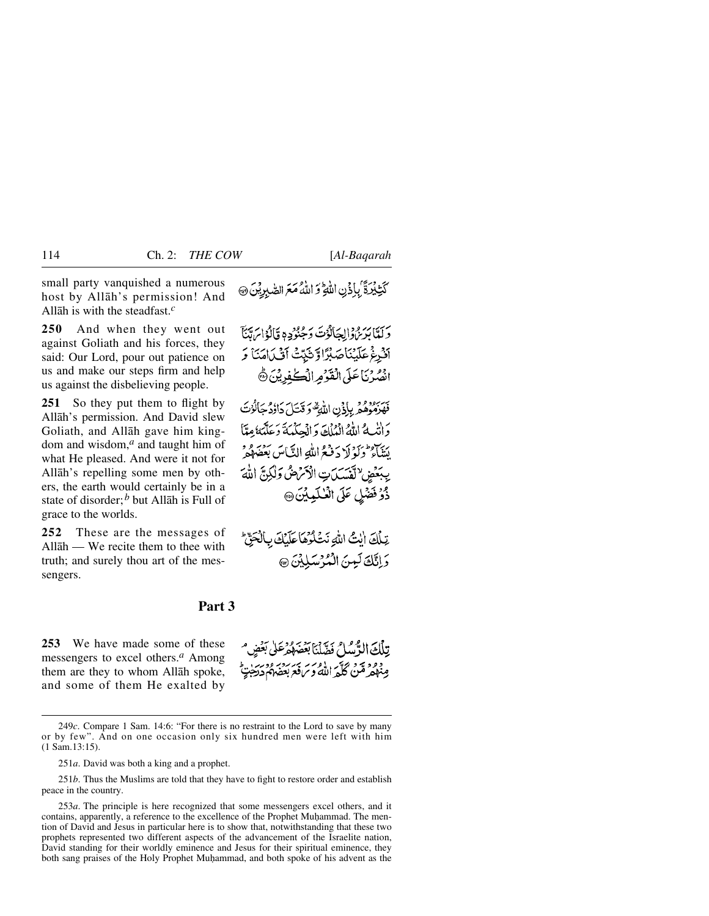small party vanquished a numerous host by Allåh's permission! And Allåh is with the steadfast.*<sup>c</sup>*

**250** And when they went out against Goliath and his forces, they said: Our Lord, pour out patience on us and make our steps firm and help us against the disbelieving people.

251 So they put them to flight by Allåh's permission. And David slew Goliath, and Allåh gave him kingdom and wisdom,*<sup>a</sup>* and taught him of what He pleased. And were it not for Allåh's repelling some men by others, the earth would certainly be in a state of disorder;*<sup>b</sup>* but Allåh is Full of grace to the worlds.

**252** These are the messages of Allåh — We recite them to thee with truth; and surely thou art of the messengers.

# كَتِّبْدَةَ ۢبِإِذۡنِ اللَّهِ ۚ وَ اللَّهُ مَعَ الصّٰبِرِيْنَ ۞

دِيَلْمَا بَدْيِرْهِ وَإِلِيحَانُوْتَ دَجُنُوُدِهِ قَالَوْا بِرَمَّنَا آَنُرِغُ عَلَيْنَاصَبُرَّا وَّتَبَتَّتْ آَنَّىٰامَنَا وَ انْصُدْنَاعَلَى الْقَوْمِرِ الْكَعْفِدِيْنَ ﴾

تَسَبِّرُوْهُمْ بِإِذْنِ اللَّهِ وَقَتَلَ دَاوُدُ جَالَوْتَ وَاتَّبِهُ اللَّهُ الْمُلْكَ وَالْحِكْمَةَ وَعَلَّمَهُ مِمَّا يَنَاءُ وَلَوْلَا دَفَعُ اللَّهِ النَّاسَ بَعْضَهُمْ يِبَعَضِ لِتَسَكِنِ الْأَمْهِنُ وَلَٰكِنَّ اللَّهَ ذُوُ فَضْلِ عَلَى الْعُلَيْدِيْنَ @

تِبِلُكَ اللَّهُ اللَّهِ نَتَّكُوهَا عَلَيْكَ بِالْحَقِّ وَاِتَّكَ لَيْنَ الْمُؤْسَلِيْنَ ٢

## **Part 3**

**253** We have made some of these messengers to excel others.*<sup>a</sup>* Among them are they to whom Allåh spoke, and some of them He exalted by

تِلْكَ الرَّسُلُ فَضَّلْنَا بَعَضَهُمْ عَلَى بَعُضٍ مِنْهُمْ مِّنْ كُلّْهَ اللَّهُ وَسَ قَدَيْهُمْ دَدْجَةٍ وَسَنَّ

<sup>249</sup>*c*. Compare 1 Sam. 14:6: "For there is no restraint to the Lord to save by many or by few". And on one occasion only six hundred men were left with him (1 Sam.13:15).

<sup>251</sup>*a*. David was both a king and a prophet.

<sup>251</sup>*b*. Thus the Muslims are told that they have to fight to restore order and establish peace in the country.

<sup>253</sup>*a*. The principle is here recognized that some messengers excel others, and it contains, apparently, a reference to the excellence of the Prophet Muhammad. The mention of David and Jesus in particular here is to show that, notwithstanding that these two prophets represented two different aspects of the advancement of the Israelite nation, David standing for their worldly eminence and Jesus for their spiritual eminence, they both sang praises of the Holy Prophet Muhammad, and both spoke of his advent as the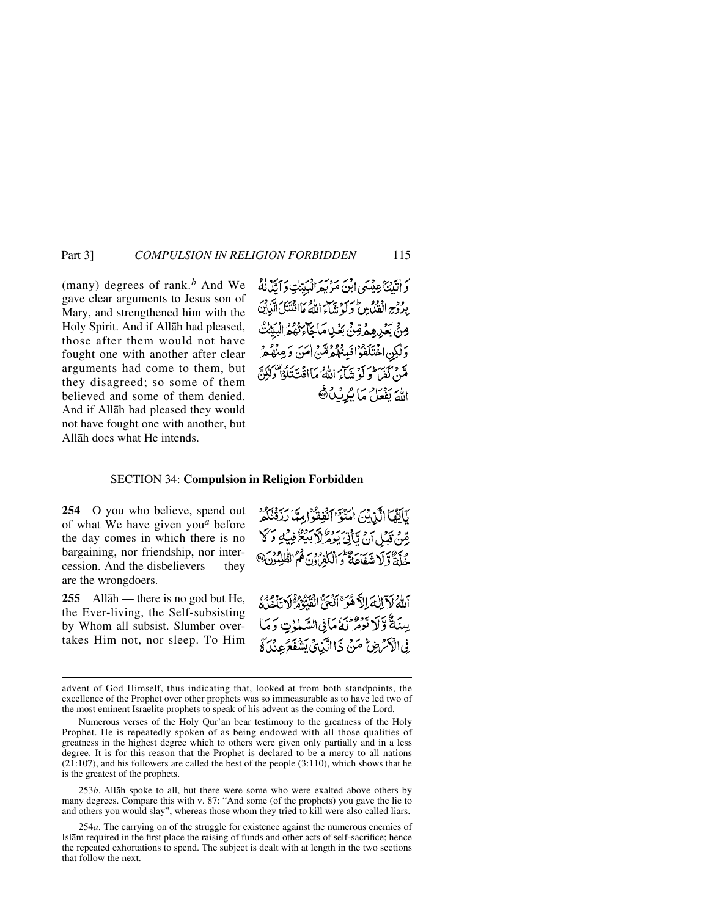(many) degrees of rank.*<sup>b</sup>* And We gave clear arguments to Jesus son of Mary, and strengthened him with the Holy Spirit. And if Allåh had pleased, those after them would not have fought one with another after clear arguments had come to them, but they disagreed; so some of them believed and some of them denied. And if Allåh had pleased they would not have fought one with another, but Allåh does what He intends.

دَ ابْيِنَاعِيْسَى ابْنَ مَرْيِعِ الْبَيِّبْتِ دَابَّدُنْهُمْ بِدُدْجِ الْفَنُاسِ وَلَوْ تِبَيْنِ اللَّهُ مَاافْنَتَكَ الَّذِينَ مِنْ بَعْدِ هِمْ قِنْ بَعْدِ مَاجَاءَتْهُمُّ الْبِرِ وَلَٰكِنِ اخْتَلَفُوۡۚ الۡبِذۡهُمۡدُمِّنَ اٰمَنَ وَمِنۡهُمۡرۡ مَّنْ كَفِي ۖ وَلَوْ تَتَبَاءَ اللَّهُ مَا اقْتَ تَلْوُاْ وَلَٰكِنَّ اللَّهَ يَفْعَلُ مَا يُرِيْدُ ﴾

#### SECTION 34: **Compulsion in Religion Forbidden**

**254** O you who believe, spend out of what We have given you*<sup>a</sup>* before the day comes in which there is no bargaining, nor friendship, nor intercession. And the disbelievers — they are the wrongdoers.

**255** Allåh — there is no god but He, the Ever-living, the Self-subsisting by Whom all subsist. Slumber overtakes Him not, nor sleep. To Him

لَأَكْثَمَا الَّذِبْنَ اٰمَنُوٓ اٰأَنْفِقُوْ إِمِيًّا رَبِّهُ نَكُمْ مِّينْ قَدْلِ أَنْ تَأْتِي بِعِهْدِ لَهُ سِنْةً فِي 2 كَلَّا جُلَّةٌ وَلَا شَفَاعَةٌ وَالْكُفْرُونَ ثُمُّ الْفُلِمُونَ@

أَلَّٰهُ لَآ اِلٰهَ إِلَّا هُوَ ٱلۡجَنَّ الْقَيَّوْمُ لَا تَأْخُذُ ۚ يِسْنَةٌ وَّلَا نُوْمُ لَهُ مَافِي السَّمْوٰتِ وَمَا فِى الْأَمْرَضِ مَنْ ذَا الَّذِيْ يَشْفَعُ عِنْدَةٌ

253*b*. Allåh spoke to all, but there were some who were exalted above others by many degrees. Compare this with v. 87: "And some (of the prophets) you gave the lie to and others you would slay", whereas those whom they tried to kill were also called liars.

advent of God Himself, thus indicating that, looked at from both standpoints, the excellence of the Prophet over other prophets was so immeasurable as to have led two of the most eminent Israelite prophets to speak of his advent as the coming of the Lord.

Numerous verses of the Holy Qur'ån bear testimony to the greatness of the Holy Prophet. He is repeatedly spoken of as being endowed with all those qualities of greatness in the highest degree which to others were given only partially and in a less degree. It is for this reason that the Prophet is declared to be a mercy to all nations (21:107), and his followers are called the best of the people (3:110), which shows that he is the greatest of the prophets.

<sup>254</sup>*a*. The carrying on of the struggle for existence against the numerous enemies of Islåm required in the first place the raising of funds and other acts of self-sacrifice; hence the repeated exhortations to spend. The subject is dealt with at length in the two sections that follow the next.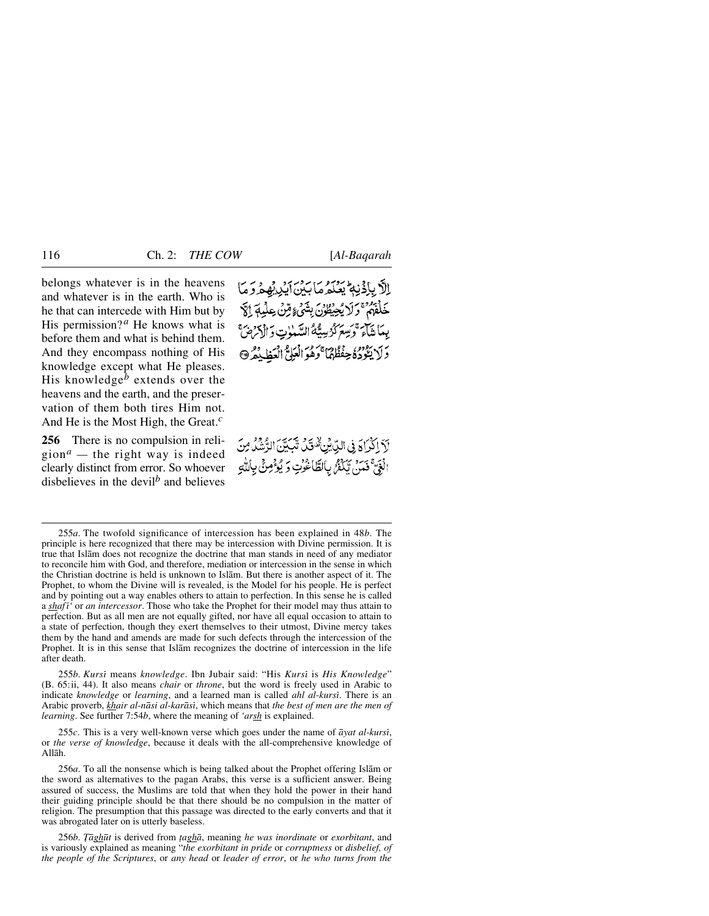belongs whatever is in the heavens and whatever is in the earth. Who is he that can intercede with Him but by His permission?<sup>*a*</sup> He knows what is before them and what is behind them. And they encompass nothing of His knowledge except what He pleases. His knowledge*<sup>b</sup>* extends over the heavens and the earth, and the preservation of them both tires Him not. And He is the Most High, the Great.*<sup>c</sup>*

**256** There is no compulsion in religion<sup> $a$ </sup> — the right way is indeed clearly distinct from error. So whoever disbelieves in the devil*<sup>b</sup>* and believes الأباذُنِهِ يَعْكَرُهَا بَدْنَ أَيْدِيْهِمْ وَمَا خَلْفَهُمْ ۚ وَلَا يُحِيَّطُوْنَ بِشَيْءٍ مِّنْ عِلْيِهِ ۚ إِنَّ بِيمَا شَآءَ وَسِعَرَكَهُ بِيبِيَّةُ السَّيْبِاتِ وَٱلْمَرْضَ ۖ دَ لَا يَعْزُدُهُ حِفْظُهُمَا ۚ دَهُوَ الْعَلِيُّ الْعَطَيْدُهُ ۞

لَاَ اِكْرَاهَ فِى اللِّابِّنِ هُ قَلْ تَبَيِّنَ الرُّسُّلُ مِنَ الْغَيَّ فَمَنْ يَكْفَرُ بِالطَّاغُونِ وَ يُؤْمِنْ بِاللَّهِ

255*b*. *Kursß* means *knowledge*. Ibn Jubair said: "His *Kursß* is *His Knowledge*" (B. 65:ii, 44). It also means *chair* or *throne*, but the word is freely used in Arabic to indicate *knowledge* or *learning*, and a learned man is called *ahl al-kursß*. There is an Arabic proverb, *khair al-nåsi al-karåsß*, which means that *the best of men are the men of learning*. See further 7:54*b*, where the meaning of *'arsh* is explained.

255*c*. This is a very well-known verse which goes under the name of *åyat al-kursß*, or *the verse of knowledge*, because it deals with the all-comprehensive knowledge of Allåh.

256*a*. To all the nonsense which is being talked about the Prophet offering Islåm or the sword as alternatives to the pagan Arabs, this verse is a sufficient answer. Being assured of success, the Muslims are told that when they hold the power in their hand their guiding principle should be that there should be no compulsion in the matter of religion. The presumption that this passage was directed to the early converts and that it was abrogated later on is utterly baseless.

256*b*. *Tāghūt* is derived from *țaghā*, meaning *he was inordinate* or *exorbitant*, and is variously explained as meaning "*the exorbitant in pride* or *corruptness* or *disbelief, of the people of the Scriptures*, or *any head* or *leader of error*, or *he who turns from the*

<sup>255</sup>*a*. The twofold significance of intercession has been explained in 48*b*. The principle is here recognized that there may be intercession with Divine permission. It is true that Islåm does not recognize the doctrine that man stands in need of any mediator to reconcile him with God, and therefore, mediation or intercession in the sense in which the Christian doctrine is held is unknown to Islåm. But there is another aspect of it. The Prophet, to whom the Divine will is revealed, is the Model for his people. He is perfect and by pointing out a way enables others to attain to perfection. In this sense he is called a *shaf ß'* or *an intercessor*. Those who take the Prophet for their model may thus attain to perfection. But as all men are not equally gifted, nor have all equal occasion to attain to a state of perfection, though they exert themselves to their utmost, Divine mercy takes them by the hand and amends are made for such defects through the intercession of the Prophet. It is in this sense that Islåm recognizes the doctrine of intercession in the life after death.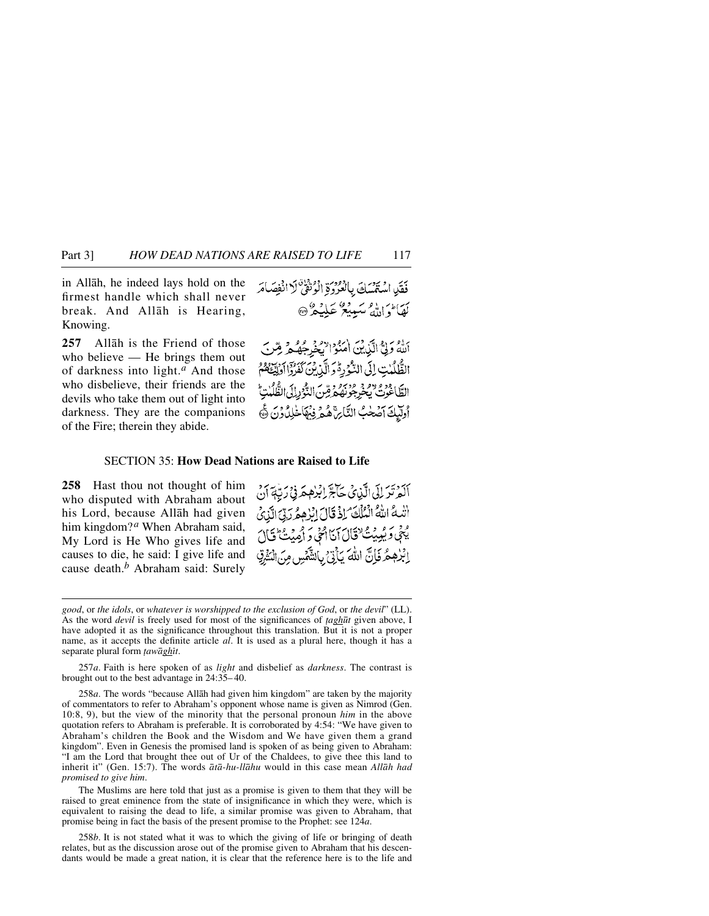## Part 3] *HOW DEAD NATIONS ARE RAISED TO LIFE* 117

in Allåh, he indeed lays hold on the firmest handle which shall never break. And Allåh is Hearing, Knowing.

**257** Allåh is the Friend of those who believe — He brings them out of darkness into light.*<sup>a</sup>* And those who disbelieve, their friends are the devils who take them out of light into darkness. They are the companions of the Fire; therein they abide.

اللَّهُ وَلِيٌّ الَّذِينَ اٰمَنُوْا يُخْرِجُهُ هُ مِّنْ الظُّلُّلُبْتِ إِلَى النُّوْرِةُ وَ الَّذِينَ كَفَرُّوْا أُولِيَٰهِ هُمْ الطَّاغُونُ يُجُرِجُونَهُ مِرِّسِ النُّوْرِ إِلَى الظُّلُبْتِ أولَيْكَ آصَٰحْبُ النَّارِهِ ۚ هُمَّ فِيهَا خَٰلِدُوْنَ ﴾

### SECTION 35: **How Dead Nations are Raised to Life**

**258** Hast thou not thought of him who disputed with Abraham about his Lord, because Allåh had given him kingdom?*<sup>a</sup>* When Abraham said, My Lord is He Who gives life and causes to die, he said: I give life and cause death.*<sup>b</sup>* Abraham said: Surely

ٱلْمَرْتَرَ إِلَى الَّذِي كَتَاجَّ إِبْرٰهِمَ فِي رَبِّهَةَ أَنْ الله اللهُ الْمُلْكَ لِذْقَالَ إِبْرُهِمُرَدِّقِ الَّذِىُ يْجُى وَيُبِيِّتْ فَقَالَ أَنَااتَجُى وَ أَمِيْتُ تَالَ إِبْرٰهِمُرْفَإِنَّ اللَّهَ يَأْتِيُّ بِالشَّهْسِ مِنَ الْمَثْرِقِ

*good*, or *the idols*, or *whatever is worshipped to the exclusion of God*, or *the devil*" (LL). As the word *devil* is freely used for most of the significances of *∆agh∂t* given above, I have adopted it as the significance throughout this translation. But it is not a proper name, as it accepts the definite article *al*. It is used as a plural here, though it has a separate plural form *tawāghīt*.

257*a*. Faith is here spoken of as *light* and disbelief as *darkness*. The contrast is brought out to the best advantage in 24:35– 40.

258*a*. The words "because Allåh had given him kingdom" are taken by the majority of commentators to refer to Abraham's opponent whose name is given as Nimrod (Gen. 10:8, 9), but the view of the minority that the personal pronoun *him* in the above quotation refers to Abraham is preferable. It is corroborated by 4:54: "We have given to Abraham's children the Book and the Wisdom and We have given them a grand kingdom". Even in Genesis the promised land is spoken of as being given to Abraham: "I am the Lord that brought thee out of Ur of the Chaldees, to give thee this land to inherit it" (Gen. 15:7). The words *åtå-hu-llåhu* would in this case mean *Allåh had promised to give him*.

The Muslims are here told that just as a promise is given to them that they will be raised to great eminence from the state of insignificance in which they were, which is equivalent to raising the dead to life, a similar promise was given to Abraham, that promise being in fact the basis of the present promise to the Prophet: see 124*a*.

258*b*. It is not stated what it was to which the giving of life or bringing of death relates, but as the discussion arose out of the promise given to Abraham that his descendants would be made a great nation, it is clear that the reference here is to the life and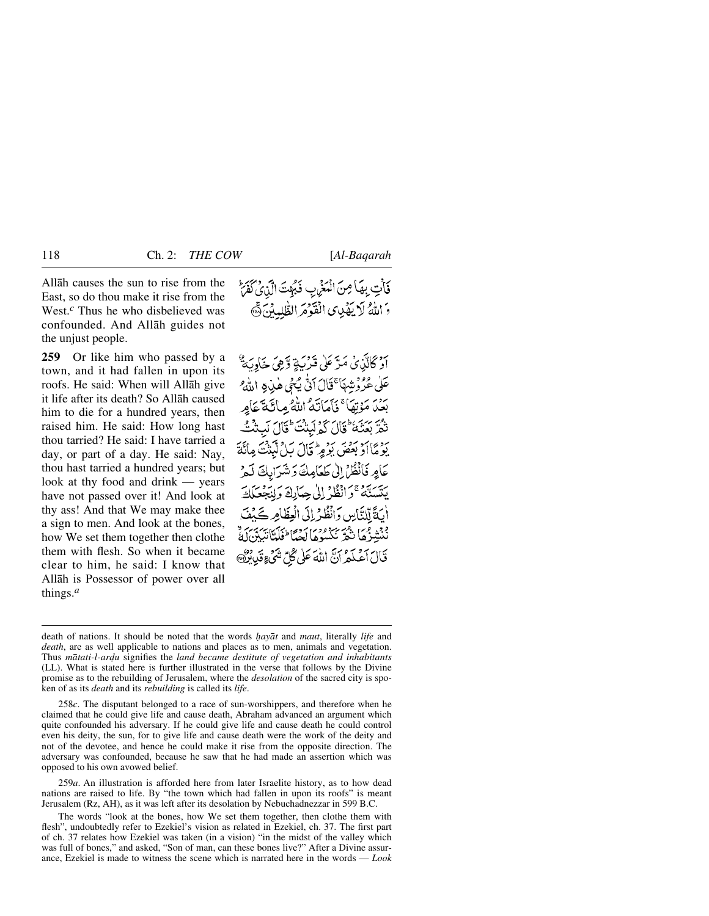Allåh causes the sun to rise from the East, so do thou make it rise from the West.<sup>*c*</sup> Thus he who disbelieved was confounded. And Allåh guides not the unjust people.

**259** Or like him who passed by a town, and it had fallen in upon its roofs. He said: When will Allåh give it life after its death? So Allåh caused him to die for a hundred years, then raised him. He said: How long hast thou tarried? He said: I have tarried a day, or part of a day. He said: Nay, thou hast tarried a hundred years; but look at thy food and drink — years have not passed over it! And look at thy ass! And that We may make thee a sign to men. And look at the bones, how We set them together then clothe them with flesh. So when it became clear to him, he said: I know that Allåh is Possessor of power over all things.*<sup>a</sup>*

اوْ ݣَالَّذِيْ مَدَّ عَلَى قَرْبَةٍ وَّهِيَ خَاوِيَةٌ عَلَى عُرُوْشِهَا ۚ قَالَ اَنْ يُحْيِ هٰذِهِ اللَّهِ ۖ ردر<br>بعد مَوْتِهَا ۚ فَأَمَاتَهُ اللَّهُ مِائَةَ عَامِرٍ تْكُرَّ بِعَنْنَهُ ۖ قَالَ كَمُ لَبِنْتَ ۖ قَالَ لَبِيثَتَّ يَوْمَاأَدْ بَعْضَ بَوْمِرْ قَالَ بَلْ تَبَدْتُ مِأَنَّةَ عَامِرِ فَانْظُرْ إِلَىٰ طَعَامِكَ دَشَرَابِكَ لَيْمِ يَتَسَتَّهُ وَأَنْظُرُ إِلَىٰ جِمَارِكَ وَلِنَجْعَلَكَ أَيَةً لِّلنَّاسِ وَانْظُرْ إِلَى الْعِظَامِرِ كَيْفَ فَنْشَدْهُمَا نِكْتُمْ نَكْسُوهَا بِحِمْاً طَلَمْاً يَهْدَيْ قَالَ أَعْلَمُ أَنَّ اللَّهَ عَلَىٰ كُلِّ شَيْءٍ قَدِينٌ

259*a*. An illustration is afforded here from later Israelite history, as to how dead nations are raised to life. By "the town which had fallen in upon its roofs" is meant Jerusalem (Rz, AH), as it was left after its desolation by Nebuchadnezzar in 599 B.C.

The words "look at the bones, how We set them together, then clothe them with flesh", undoubtedly refer to Ezekiel's vision as related in Ezekiel, ch. 37. The first part of ch. 37 relates how Ezekiel was taken (in a vision) "in the midst of the valley which was full of bones," and asked, "Son of man, can these bones live?" After a Divine assurance, Ezekiel is made to witness the scene which is narrated here in the words — *Look*

death of nations. It should be noted that the words *√ayåt* and *maut*, literally *life* and *death*, are as well applicable to nations and places as to men, animals and vegetation. Thus *mātati-l-ardu* signifies the *land became destitute of vegetation and inhabitants* (LL). What is stated here is further illustrated in the verse that follows by the Divine promise as to the rebuilding of Jerusalem, where the *desolation* of the sacred city is spoken of as its *death* and its *rebuilding* is called its *life*.

<sup>258</sup>*c*. The disputant belonged to a race of sun-worshippers, and therefore when he claimed that he could give life and cause death, Abraham advanced an argument which quite confounded his adversary. If he could give life and cause death he could control even his deity, the sun, for to give life and cause death were the work of the deity and not of the devotee, and hence he could make it rise from the opposite direction. The adversary was confounded, because he saw that he had made an assertion which was opposed to his own avowed belief.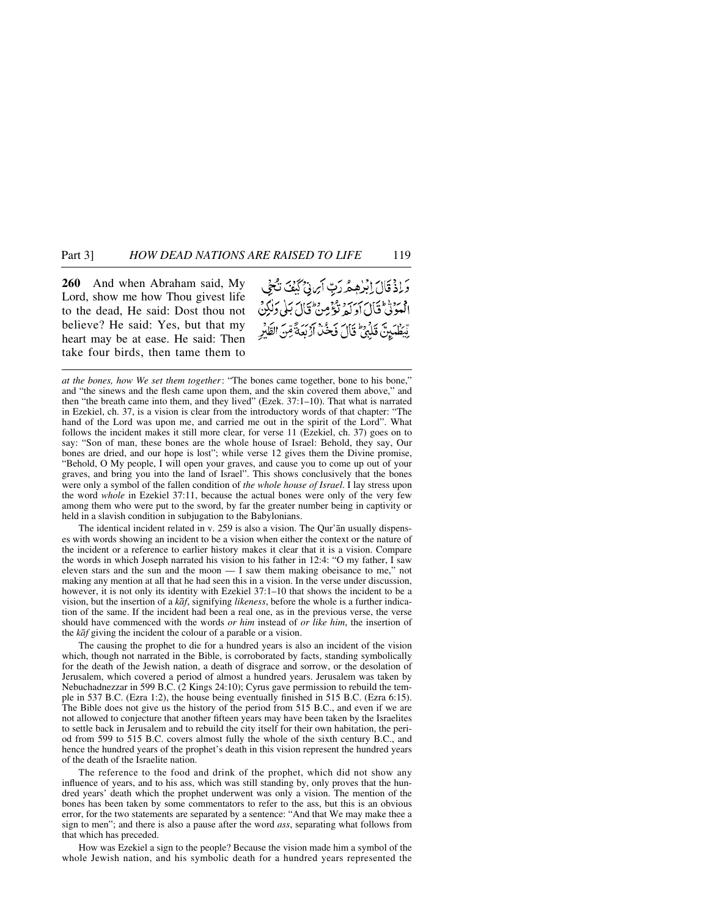**260** And when Abraham said, My Lord, show me how Thou givest life to the dead, He said: Dost thou not believe? He said: Yes, but that my heart may be at ease. He said: Then take four birds, then tame them to

وَإِذْ قَالَ إِبْرٰهِهُ رَبِّ أَبِرِينَ كَيْفَ تَكْثَى د برداغة فان سربرد ويؤمن فان بَلى دَلْكِنْ لِّيْطُمَيِنَ قَلِّهِ ۚ قَالَ فَخُذْ أَرْبَعَةً مِّنَ الظَّيْرِ

*at the bones, how We set them together*: "The bones came together, bone to his bone," and "the sinews and the flesh came upon them, and the skin covered them above," and then "the breath came into them, and they lived" (Ezek. 37:1–10). That what is narrated in Ezekiel, ch. 37, is a vision is clear from the introductory words of that chapter: "The hand of the Lord was upon me, and carried me out in the spirit of the Lord". What follows the incident makes it still more clear, for verse 11 (Ezekiel, ch. 37) goes on to say: "Son of man, these bones are the whole house of Israel: Behold, they say, Our bones are dried, and our hope is lost"; while verse 12 gives them the Divine promise, "Behold, O My people, I will open your graves, and cause you to come up out of your graves, and bring you into the land of Israel". This shows conclusively that the bones were only a symbol of the fallen condition of *the whole house of Israel*. I lay stress upon the word *whole* in Ezekiel 37:11, because the actual bones were only of the very few among them who were put to the sword, by far the greater number being in captivity or held in a slavish condition in subjugation to the Babylonians.

The identical incident related in v. 259 is also a vision. The Qur'ån usually dispenses with words showing an incident to be a vision when either the context or the nature of the incident or a reference to earlier history makes it clear that it is a vision. Compare the words in which Joseph narrated his vision to his father in 12:4: "O my father, I saw eleven stars and the sun and the moon  $-1$  saw them making obeisance to me," not making any mention at all that he had seen this in a vision. In the verse under discussion, however, it is not only its identity with Ezekiel 37:1–10 that shows the incident to be a vision, but the insertion of a *kåf*, signifying *likeness*, before the whole is a further indication of the same. If the incident had been a real one, as in the previous verse, the verse should have commenced with the words *or him* instead of *or like him*, the insertion of the *kåf* giving the incident the colour of a parable or a vision.

The causing the prophet to die for a hundred years is also an incident of the vision which, though not narrated in the Bible, is corroborated by facts, standing symbolically for the death of the Jewish nation, a death of disgrace and sorrow, or the desolation of Jerusalem, which covered a period of almost a hundred years. Jerusalem was taken by Nebuchadnezzar in 599 B.C. (2 Kings 24:10); Cyrus gave permission to rebuild the temple in 537 B.C. (Ezra 1:2), the house being eventually finished in 515 B.C. (Ezra 6:15). The Bible does not give us the history of the period from 515 B.C., and even if we are not allowed to conjecture that another fifteen years may have been taken by the Israelites to settle back in Jerusalem and to rebuild the city itself for their own habitation, the period from 599 to 515 B.C. covers almost fully the whole of the sixth century B.C., and hence the hundred years of the prophet's death in this vision represent the hundred years of the death of the Israelite nation.

The reference to the food and drink of the prophet, which did not show any influence of years, and to his ass, which was still standing by, only proves that the hundred years' death which the prophet underwent was only a vision. The mention of the bones has been taken by some commentators to refer to the ass, but this is an obvious error, for the two statements are separated by a sentence: "And that We may make thee a sign to men"; and there is also a pause after the word *ass*, separating what follows from that which has preceded.

How was Ezekiel a sign to the people? Because the vision made him a symbol of the whole Jewish nation, and his symbolic death for a hundred years represented the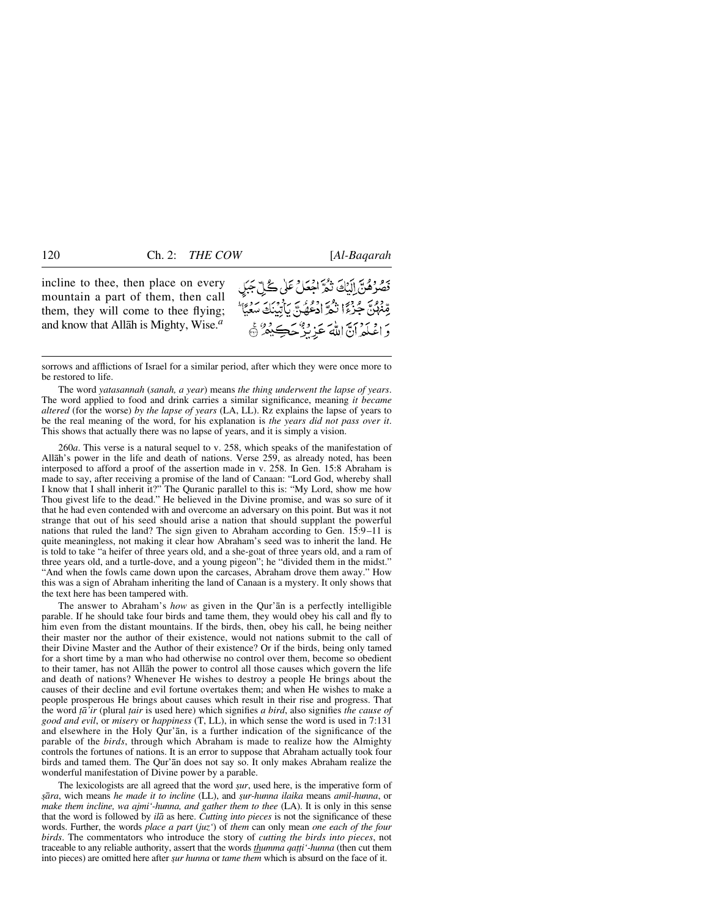incline to thee, then place on every mountain a part of them, then call them, they will come to thee flying; and know that Allåh is Mighty, Wise.*<sup>a</sup>*

تَصَرَّصُنَّ إِلَيْكَ تَمُّرَّ اجْعَلْ عَلَى كُلِّ جَبَلٍ مِّنْهُنَّ جُزِءًا نَثْمَّ زَدْءُ بِّ بِأَيْنَكَ سَعَيَّا ۖ ر ويددي لابريز ويجب دوعي

sorrows and afflictions of Israel for a similar period, after which they were once more to be restored to life.

The word *yatasannah* (*sanah, a year*) means *the thing underwent the lapse of years*. The word applied to food and drink carries a similar significance, meaning *it became altered* (for the worse) *by the lapse of years* (LA, LL). Rz explains the lapse of years to be the real meaning of the word, for his explanation is *the years did not pass over it*. This shows that actually there was no lapse of years, and it is simply a vision.

260*a*. This verse is a natural sequel to v. 258, which speaks of the manifestation of Allåh's power in the life and death of nations. Verse 259, as already noted, has been interposed to afford a proof of the assertion made in v. 258. In Gen. 15:8 Abraham is made to say, after receiving a promise of the land of Canaan: "Lord God, whereby shall I know that I shall inherit it?" The Quranic parallel to this is: "My Lord, show me how Thou givest life to the dead." He believed in the Divine promise, and was so sure of it that he had even contended with and overcome an adversary on this point. But was it not strange that out of his seed should arise a nation that should supplant the powerful nations that ruled the land? The sign given to Abraham according to Gen. 15:9–11 is quite meaningless, not making it clear how Abraham's seed was to inherit the land. He is told to take "a heifer of three years old, and a she-goat of three years old, and a ram of three years old, and a turtle-dove, and a young pigeon"; he "divided them in the midst." "And when the fowls came down upon the carcases, Abraham drove them away." How this was a sign of Abraham inheriting the land of Canaan is a mystery. It only shows that the text here has been tampered with.

The answer to Abraham's *how* as given in the Qur'ån is a perfectly intelligible parable. If he should take four birds and tame them, they would obey his call and fly to him even from the distant mountains. If the birds, then, obey his call, he being neither their master nor the author of their existence, would not nations submit to the call of their Divine Master and the Author of their existence? Or if the birds, being only tamed for a short time by a man who had otherwise no control over them, become so obedient to their tamer, has not Allåh the power to control all those causes which govern the life and death of nations? Whenever He wishes to destroy a people He brings about the causes of their decline and evil fortune overtakes them; and when He wishes to make a people prosperous He brings about causes which result in their rise and progress. That the word *ƌ'ir* (plural *∆air* is used here) which signifies *a bird*, also signifies *the cause of good and evil*, or *misery* or *happiness* (T, LL), in which sense the word is used in 7:131 and elsewhere in the Holy Qur'ån, is a further indication of the significance of the parable of the *birds*, through which Abraham is made to realize how the Almighty controls the fortunes of nations. It is an error to suppose that Abraham actually took four birds and tamed them. The Qur'ån does not say so. It only makes Abraham realize the wonderful manifestation of Divine power by a parable.

The lexicologists are all agreed that the word *sur*, used here, is the imperative form of *©åra*, wich means *he made it to incline* (LL), and *©ur-hunna ilaika* means *amil-hunna*, or *make them incline, wa ajmi'-hunna, and gather them to thee* (LA). It is only in this sense that the word is followed by *ilå* as here. *Cutting into pieces* is not the significance of these words. Further, the words *place a part* (*juz'*) of *them* can only mean *one each of the four birds*. The commentators who introduce the story of *cutting the birds into pieces*, not traceable to any reliable authority, assert that the words *thumma qa∆∆i'-hunna* (then cut them into pieces) are omitted here after *gur hunna* or *tame them* which is absurd on the face of it.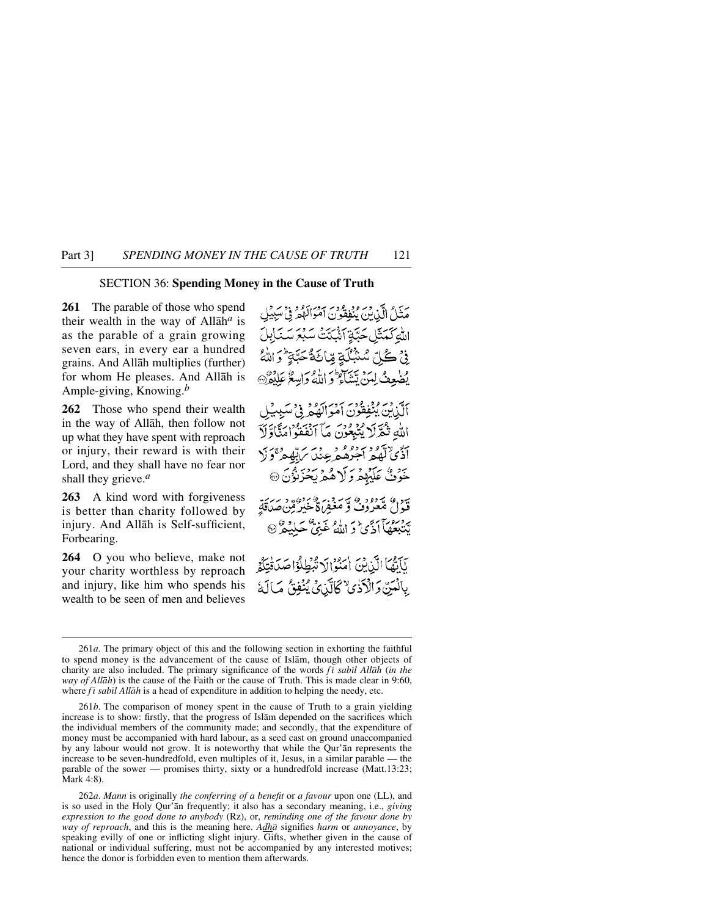### SECTION 36: **Spending Money in the Cause of Truth**

**261** The parable of those who spend their wealth in the way of Allåh*<sup>a</sup>* is as the parable of a grain growing seven ears, in every ear a hundred grains. And Allåh multiplies (further) for whom He pleases. And Allåh is Ample-giving, Knowing.*<sup>b</sup>*

**262** Those who spend their wealth in the way of Allåh, then follow not up what they have spent with reproach or injury, their reward is with their Lord, and they shall have no fear nor shall they grieve.*<sup>a</sup>*

**263** A kind word with forgiveness is better than charity followed by injury. And Allåh is Self-sufficient, Forbearing.

**264** O you who believe, make not your charity worthless by reproach and injury, like him who spends his wealth to be seen of men and believes

يَدَلُّ الَّذِينَ يُنْفِقُونَ آمَوَالَهُمْ فِيْ سَبِيْلِ اللَّهِ كَمَثَلِ حَبَّةٍ آشَيْتَتْ سَبْعَ سَنَابِلَ فِيْ كُلِّ سُنْبُلَةٍ مِّائَةٌ حَبَّةٍ ۚ وَاللَّهُ يُضْعِفُ لِمَنْ يَتَنَاءُ وَ اللَّهُ وَابِيعُ عَلِيْقُ ﴾ أَلَّذِينَ يُنْفِقُونَ أَمْوَالَهُمْ فِي سَبِيبُلِ الله ثَمَّرَلَا يُنْبِعُونَ مَاۤ أَنْفَقُوْامَتَّاوَّلَآ رسم آگهگر اجره و در برته دی در<br>اڏي لهگر اجرهم عِندس آپهه و در خَوْفٌ عَلَيْهِمْ وَ لَا هُمْ يَحْزِنُوْنَ ۞ ىبور، سورود، سەمزوير، مۇسور سەيرى<br>قىول مىغروف ۋ مغفراة خىرگېن صداقة پر موج کو اللہ غَنِیٌّ حَلِیۡهِ ۗ<br>پَتَنَبِعُهَاۤ اَذۡیۡ وَ اللّٰہُ غَنِیۡ حَلِیۡهِ ۖ يَآيَّهَا الَّذِينَ امَّنُوالَا تَّبْطِلُوْا صَدَقْتِكُمْ بِالْمَنِّ وَالْآذَىٰ كَالَّذِيْ يُنُفِقُ مَالَةُ

262*a*. *Mann* is originally *the conferring of a benefit* or *a favour* upon one (LL), and is so used in the Holy Qur'ån frequently; it also has a secondary meaning, i.e., *giving expression to the good done to anybody* (Rz), or, *reminding one of the favour done by way of reproach*, and this is the meaning here. *Adhå* signifies *harm* or *annoyance*, by speaking evilly of one or inflicting slight injury. Gifts, whether given in the cause of national or individual suffering, must not be accompanied by any interested motives; hence the donor is forbidden even to mention them afterwards.

<sup>261</sup>*a*. The primary object of this and the following section in exhorting the faithful to spend money is the advancement of the cause of Islåm, though other objects of charity are also included. The primary significance of the words *fi sabil Allāh* (*in the way of Allåh*) is the cause of the Faith or the cause of Truth. This is made clear in 9:60, where  $f\bar{i}$  sabil All $\bar{i}$ h is a head of expenditure in addition to helping the needy, etc.

<sup>261</sup>*b*. The comparison of money spent in the cause of Truth to a grain yielding increase is to show: firstly, that the progress of Islåm depended on the sacrifices which the individual members of the community made; and secondly, that the expenditure of money must be accompanied with hard labour, as a seed cast on ground unaccompanied by any labour would not grow. It is noteworthy that while the Qur'ån represents the increase to be seven-hundredfold, even multiples of it, Jesus, in a similar parable — the parable of the sower — promises thirty, sixty or a hundredfold increase (Matt.13:23; Mark 4:8).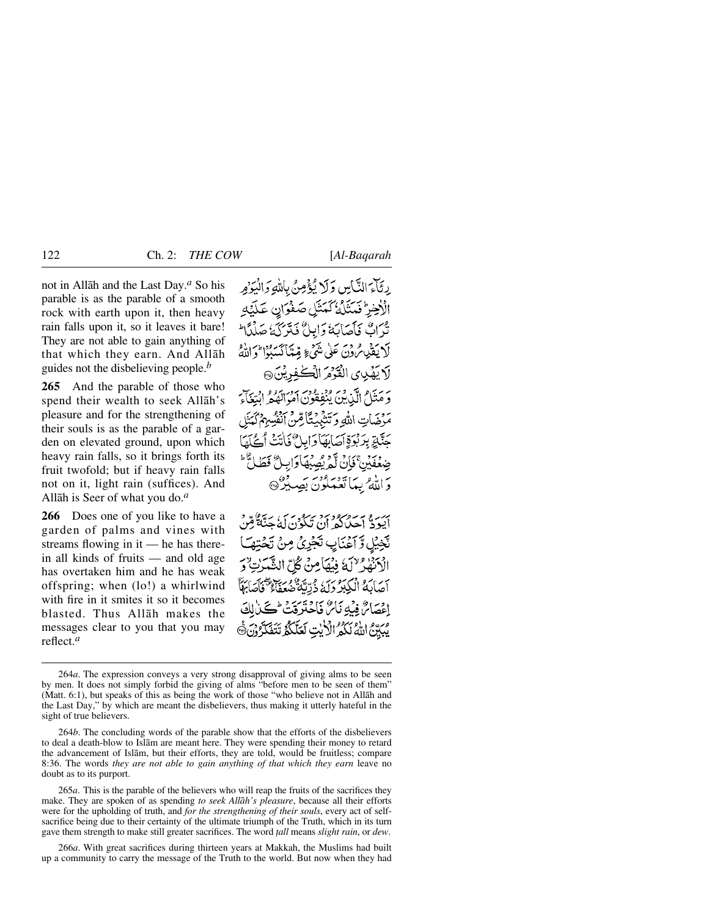not in Allåh and the Last Day.*<sup>a</sup>* So his parable is as the parable of a smooth rock with earth upon it, then heavy rain falls upon it, so it leaves it bare! They are not able to gain anything of that which they earn. And Allåh guides not the disbelieving people.*<sup>b</sup>*

**265** And the parable of those who spend their wealth to seek Allåh's pleasure and for the strengthening of their souls is as the parable of a garden on elevated ground, upon which heavy rain falls, so it brings forth its fruit twofold; but if heavy rain falls not on it, light rain (suffices). And Allåh is Seer of what you do.*<sup>a</sup>*

**266** Does one of you like to have a garden of palms and vines with streams flowing in it — he has therein all kinds of fruits — and old age has overtaken him and he has weak offspring; when (lo!) a whirlwind with fire in it smites it so it becomes blasted. Thus Allåh makes the messages clear to you that you may reflect.*<sup>a</sup>*

رِ ثَلْمَ النَّاسِ وَلَا يُؤْمِنُ بِاللَّهِ وَالْيَوْمِ الْأَخِرْ فَمَثَلُهُ كَمَثَلِ صَفْوَانِ عَلَيْهِ تْدَاكْ فَأَصَابَهُ وَإِبِيلٌ فَيَتَرَكَهُ صَلْدًا ۖ لَا يَقْدِمُ وْنَ عَلَى شَيْءٍ قِيمًا كَسَبُوْا وَاللَّهُ لَا يَهْدِى الْقَوْمَ الْكُفْوِيْنَ، وَ مَتَنَامُ إِلَّيْ مِنْ مُرْدِعُ مِنْ مُرْسَدِهِ مِنْ الْبَيْعَانِيِّ. مَزْضَاتِ اللَّهِ وَتَنْثَبُنَتَأَ حَتَّلَةِ بِدَنْوَةِ آَصَابَهَا دَابِيِ\ مَالَتَتَيْ جِنْعُفَيْنَ ۚ فَإِنَّ لَّمْ يُصَبِّهَا وَاب رَ اللَّهُ بِيمَا تَدْمَدُونَ بَصِيْرٌ۞

بر و به سره دوبرد بر در سر برید.<br>ایود احیانکه آن تکون که جنگهٔ قِن نَّخِيْلِ وَّ آَعْنَايِبِ تَجْرِيُّ مِنْ تَحْتِهَـَا الْهَنّْفِيرٌ لَالَهُ فَيُهَامِنْ كُلِّ الشَّهَدَتِ ۚ وَ أَصَابَهُ الْكِبْرُولَهُ ذُرِّيَّةً صَعِفًا ۚ احسامٌ فيهُ نَامٌ فَأَحَدَّدَ فَتْ كُنَّے يْبَيِّيّْ اللَّهُ لَكُمُ الْأَيْتِ لَعَلَّكُمْ تَتَفَكَّرُوْنَ

265*a*. This is the parable of the believers who will reap the fruits of the sacrifices they make. They are spoken of as spending *to seek Allåh's pleasure*, because all their efforts were for the upholding of truth, and *for the strengthening of their souls*, every act of selfsacrifice being due to their certainty of the ultimate triumph of the Truth, which in its turn gave them strength to make still greater sacrifices. The word *∆all* means *slight rain*, or *dew*.

266*a*. With great sacrifices during thirteen years at Makkah, the Muslims had built up a community to carry the message of the Truth to the world. But now when they had

<sup>264</sup>*a*. The expression conveys a very strong disapproval of giving alms to be seen by men. It does not simply forbid the giving of alms "before men to be seen of them" (Matt. 6:1), but speaks of this as being the work of those "who believe not in Allåh and the Last Day," by which are meant the disbelievers, thus making it utterly hateful in the sight of true believers.

<sup>264</sup>*b*. The concluding words of the parable show that the efforts of the disbelievers to deal a death-blow to Islåm are meant here. They were spending their money to retard the advancement of Islåm, but their efforts, they are told, would be fruitless; compare 8:36. The words *they are not able to gain anything of that which they earn* leave no doubt as to its purport.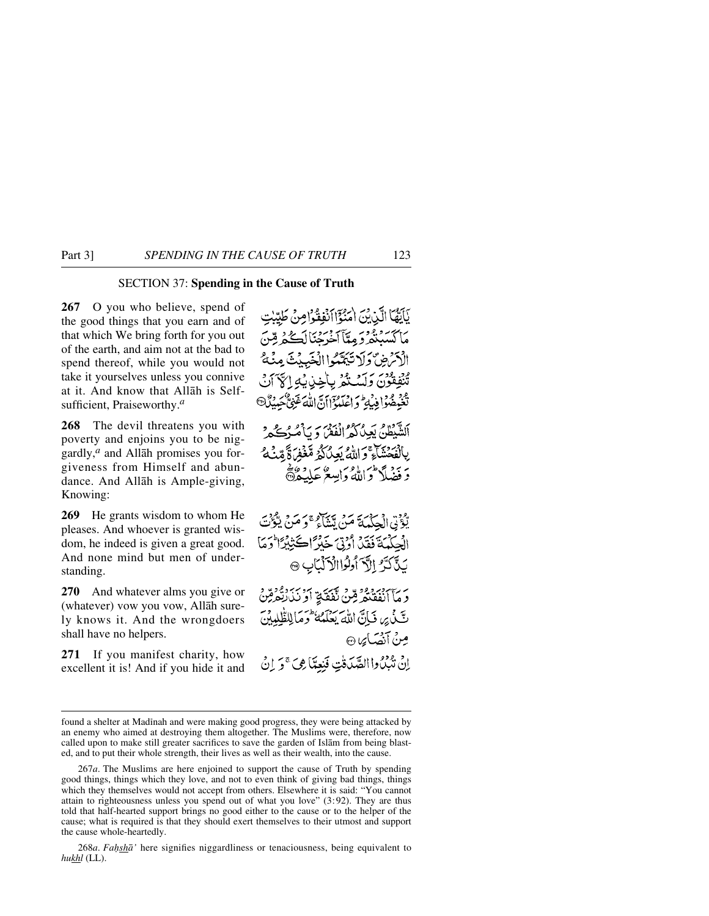## SECTION 37: **Spending in the Cause of Truth**

**267** O you who believe, spend of the good things that you earn and of that which We bring forth for you out of the earth, and aim not at the bad to spend thereof, while you would not take it yourselves unless you connive at it. And know that Allåh is Selfsufficient, Praiseworthy.*<sup>a</sup>*

**268** The devil threatens you with poverty and enjoins you to be niggardly,*<sup>a</sup>* and Allåh promises you forgiveness from Himself and abundance. And Allåh is Ample-giving, Knowing:

**269** He grants wisdom to whom He pleases. And whoever is granted wisdom, he indeed is given a great good. And none mind but men of understanding.

**270** And whatever alms you give or (whatever) vow you vow, Allåh surely knows it. And the wrongdoers shall have no helpers.

**271** If you manifest charity, how excellent it is! And if you hide it and

يَأَيُّهَا الَّذِيْنَ امْنُؤَاأَنْفِقُوْامِنْ طَيِّنْتِ مَأَكْتَبَنَّكُمْ وَ مِيَّأَ خَرَجْنَا لَڪُمْ قِينَ الْأَمْرَضِ وَلَا تَبَيَّبُوا الْغَيْبُنُ مِنْهُ ۚ ود ودي كركند ود<br>تنفِقون وَلَسُنْكُرْ بِهِ اجنن ثه الآ تَغَيْفُتُوْا فِيُهِ وَاعْلَيْهِ ْ ہے<br>"'اللہ اَلشَّبْطُنُّ بَعِينُا كَمُرَ الْفَقْرَ وَ بِٱصْرَاحِكُمْ بِالْفَحْشَاءِ وَاللَّهُ بَعِيْكُمْ مَّغْفِرَةً مِّيْنَهُمْ بَرِ ذِيهِ أَهْرَ إِيهِ وَابِسِعْ عَلَيْهِ هُمُجًا يْعُوْنِي الْجِكْمْيَةَ مَنْ يَتَنَاهُمْ وَمَنْ يَتْوَفَّ الْحِكْمَةَ فَقَدْ أَوْتِيَ خَيْرًاڪَتِيْتِنَا وَمَا بَذَّكَرَّ إِلَّآ أُولُواالْأَلْبَابِ ۞ دَ مَآأَنْفَقْتُهُ مِّنْ تَفْقَةِ أَدْنَنَدْتُهُ مِّنْ تَّ بِي مَاِنَّ اللَّهَ يَعْلَمُهُ أَوَمَا لِلْقُلِيبِينَ مِنْ أَنْصَاً مِا ۞ إِنْ تَبْدُوا الصَّدَفْتِ فَنِعِمَّا مِيَ ۚ وَ إِنَّ

268*a*. *Fa√shå'* here signifies niggardliness or tenaciousness, being equivalent to *hukhl* (LL).

found a shelter at Madinah and were making good progress, they were being attacked by an enemy who aimed at destroying them altogether. The Muslims were, therefore, now called upon to make still greater sacrifices to save the garden of Islåm from being blasted, and to put their whole strength, their lives as well as their wealth, into the cause.

<sup>267</sup>*a*. The Muslims are here enjoined to support the cause of Truth by spending good things, things which they love, and not to even think of giving bad things, things which they themselves would not accept from others. Elsewhere it is said: "You cannot attain to righteousness unless you spend out of what you love" (3:92). They are thus told that half-hearted support brings no good either to the cause or to the helper of the cause; what is required is that they should exert themselves to their utmost and support the cause whole-heartedly.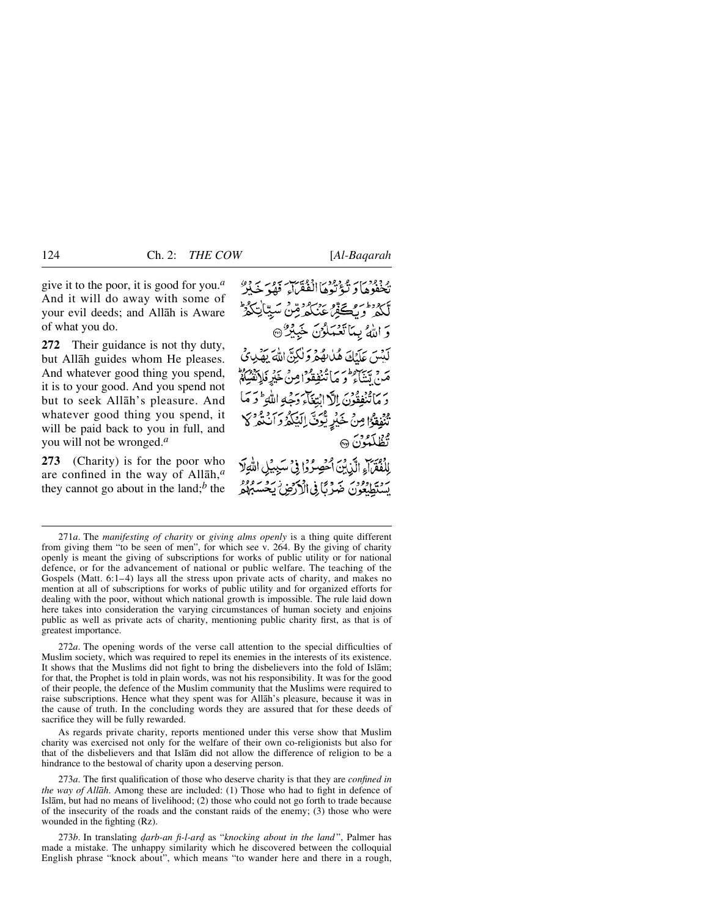give it to the poor, it is good for you.*<sup>a</sup>* And it will do away with some of your evil deeds; and Allåh is Aware of what you do.

**272** Their guidance is not thy duty, but Allåh guides whom He pleases. And whatever good thing you spend, it is to your good. And you spend not but to seek Allåh's pleasure. And whatever good thing you spend, it will be paid back to you in full, and you will not be wronged.*<sup>a</sup>*

**273** (Charity) is for the poor who are confined in the way of Allåh,*<sup>a</sup>* they cannot go about in the land; $<sup>b</sup>$  the</sup>

يْ دُور بِيْءٍ دُور الْمُؤْتَيِبِ بِيُورِ بِيَ دِيْرٍ لككر وتككف عنكرقن سياتكو وَ اللَّهُ بِيَاتَعْبَلُوْنَ خَبِيْرٌ @ كَنْتَهِيَ عَلَيْكَ هُلْابِقُهُمْ وَلْكِنَّ اللَّهَ يَقْدِرُيْ مَنْ تَتَنَاءُ وَ مَا تَنْبُقِقُواْ مِنْ خَيْرِ فَلاَنْفُسِكُمْ ر بِمَاتَنْفِقُونَ اِلْأَ ابْتِغَاءِ دَجَّةِ اللَّهِ ۖ وَ مَا مُعَوْمًا مِنْ خَيْرِيْهِينَ إِيَهُمْ وَانْتَغَيْرِ كَلَّا مون<br>تظل**کو**ن ه الفقراء الَّذِينَ الصَّوِرُوا فِي سَيِّدِلِ اللَّهِ لَا

يردي دود، صَرْبًا فِي الْأَرْضُ يَحْسَبُهُمْ

272*a*. The opening words of the verse call attention to the special difficulties of Muslim society, which was required to repel its enemies in the interests of its existence. It shows that the Muslims did not fight to bring the disbelievers into the fold of Islåm; for that, the Prophet is told in plain words, was not his responsibility. It was for the good of their people, the defence of the Muslim community that the Muslims were required to raise subscriptions. Hence what they spent was for Allåh's pleasure, because it was in the cause of truth. In the concluding words they are assured that for these deeds of sacrifice they will be fully rewarded.

As regards private charity, reports mentioned under this verse show that Muslim charity was exercised not only for the welfare of their own co-religionists but also for that of the disbelievers and that Islåm did not allow the difference of religion to be a hindrance to the bestowal of charity upon a deserving person.

273*a*. The first qualification of those who deserve charity is that they are *confined in the way of Allåh*. Among these are included: (1) Those who had to fight in defence of Islåm, but had no means of livelihood; (2) those who could not go forth to trade because of the insecurity of the roads and the constant raids of the enemy; (3) those who were wounded in the fighting (Rz).

273*b*. In translating *darb-an fi-l-ard* as "*knocking about in the land*", Palmer has made a mistake. The unhappy similarity which he discovered between the colloquial English phrase "knock about", which means "to wander here and there in a rough,

<sup>271</sup>*a*. The *manifesting of charity* or *giving alms openly* is a thing quite different from giving them "to be seen of men", for which see v. 264. By the giving of charity openly is meant the giving of subscriptions for works of public utility or for national defence, or for the advancement of national or public welfare. The teaching of the Gospels (Matt. 6:1–4) lays all the stress upon private acts of charity, and makes no mention at all of subscriptions for works of public utility and for organized efforts for dealing with the poor, without which national growth is impossible. The rule laid down here takes into consideration the varying circumstances of human society and enjoins public as well as private acts of charity, mentioning public charity first, as that is of greatest importance.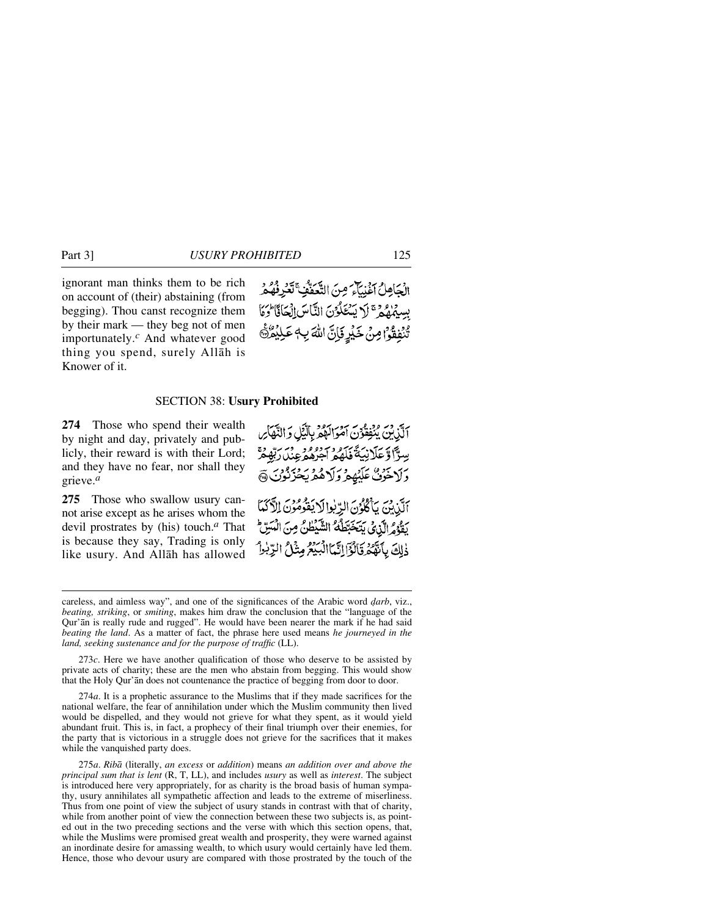ignorant man thinks them to be rich on account of (their) abstaining (from begging). Thou canst recognize them by their mark — they beg not of men importunately.*<sup>c</sup>* And whatever good thing you spend, surely Allåh is Knower of it.

الْجَاهِلُ اَغْنِيَّاءَ مِنَ التَّعَفُّفِ تَعْرِفُهُمْ بِسِيمُهُمُ تَلَا بِيَنْعَلُوْنَ النَّاسَ الْمَانَى الْمَا يْنْفِقُوْا مِنْ خَيْرٍ فَإِنَّ اللَّهَ بِهِ عَلِيْمُنَّ

#### SECTION 38: **Usury Prohibited**

**274** Those who spend their wealth by night and day, privately and publicly, their reward is with their Lord; and they have no fear, nor shall they grieve.*<sup>a</sup>*

**275** Those who swallow usury cannot arise except as he arises whom the devil prostrates by (his) touch.*<sup>a</sup>* That is because they say, Trading is only like usury. And Allåh has allowed

آلَّذِيْنَ يُنْفِقُونَ آمَوَاتِهُمْ بِالَّيْلِ وَالنَّهَاْسِ سِرَّاً وَعَلَانِيَةَ فَلَهُمُّ اجْرُهُمْ عِنْدَارَبَّهِمْ وَلَاحُوْنٌ عَلَيْهِمْ وَلَاهُمْ يَحْزَنُونَ الَّذِينَ يَأْكُلُوْنَ الرِّبْدِالَا يَقُوْمُوْنَ الْآَكَيَا بَفَوْمُ الَّذِي يَتَخَبَّطُهُ الشَّيْطُنُ مِنَ الْمَسِّ ذٰلِكَ بِأَنَّهُ وَقَالُوْٓالِنَّمَاالْبُيۡعُ مِثۡلُ الرِّبٰلُ

273*c*. Here we have another qualification of those who deserve to be assisted by private acts of charity; these are the men who abstain from begging. This would show that the Holy Qur'ån does not countenance the practice of begging from door to door.

274*a*. It is a prophetic assurance to the Muslims that if they made sacrifices for the national welfare, the fear of annihilation under which the Muslim community then lived would be dispelled, and they would not grieve for what they spent, as it would yield abundant fruit. This is, in fact, a prophecy of their final triumph over their enemies, for the party that is victorious in a struggle does not grieve for the sacrifices that it makes while the vanquished party does.

275*a*. *Ribå* (literally, *an excess* or *addition*) means *an addition over and above the principal sum that is lent* (R, T, LL), and includes *usury* as well as *interest*. The subject is introduced here very appropriately, for as charity is the broad basis of human sympathy, usury annihilates all sympathetic affection and leads to the extreme of miserliness. Thus from one point of view the subject of usury stands in contrast with that of charity, while from another point of view the connection between these two subjects is, as pointed out in the two preceding sections and the verse with which this section opens, that, while the Muslims were promised great wealth and prosperity, they were warned against an inordinate desire for amassing wealth, to which usury would certainly have led them. Hence, those who devour usury are compared with those prostrated by the touch of the

careless, and aimless way", and one of the significances of the Arabic word *darb*, viz., *beating, striking*, or *smiting*, makes him draw the conclusion that the "language of the Qur'ån is really rude and rugged". He would have been nearer the mark if he had said *beating the land*. As a matter of fact, the phrase here used means *he journeyed in the land, seeking sustenance and for the purpose of traffic* (LL).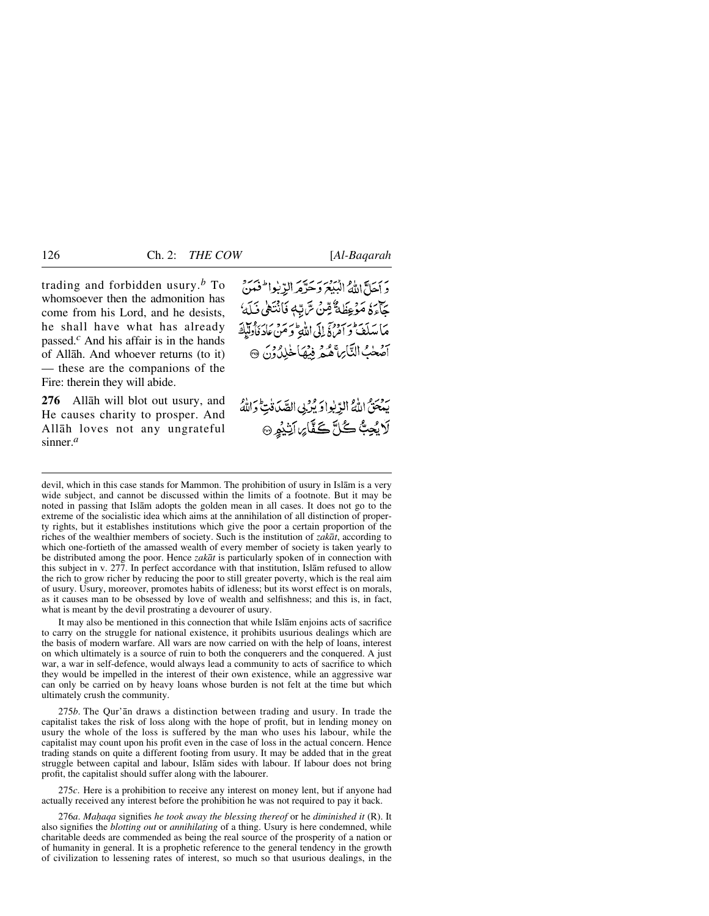trading and forbidden usury.*<sup>b</sup>* To whomsoever then the admonition has come from his Lord, and he desists, he shall have what has already passed.*<sup>c</sup>* And his affair is in the hands of Allåh. And whoever returns (to it) — these are the companions of the Fire: therein they will abide.

**276** Allåh will blot out usury, and He causes charity to prosper. And Allåh loves not any ungrateful sinner.*<sup>a</sup>*

يجمعا اللهُ البيع وحَرَّمَ الدِّبُوا لَحْمَنَ جَآءَةُ مَوْعِظَةٌ مِّنْ سَّ تِّبَهِ فَأَنْتَهَىٰ فَلَمَّا مَا مَدَلَقَ و امْرِئَي إِلَى اللَّهِ وَ مَنْ عَادَ فَأُولَيْكَ سوط التَّابِرِ عُمْرٍ فِيهَاخْلِدُونَ ۞

يبْعَتْيْ اللَّهُ الدِّيبُوادَ يُرْبِي الصَّدَفْتِ وَاللَّهُ لَا يُحِبُّ كُلَّ كَفَّارِ، اَنِّيُوٍ ۞

devil, which in this case stands for Mammon. The prohibition of usury in Islåm is a very wide subject, and cannot be discussed within the limits of a footnote. But it may be noted in passing that Islåm adopts the golden mean in all cases. It does not go to the extreme of the socialistic idea which aims at the annihilation of all distinction of property rights, but it establishes institutions which give the poor a certain proportion of the riches of the wealthier members of society. Such is the institution of *zakåt*, according to which one-fortieth of the amassed wealth of every member of society is taken yearly to be distributed among the poor. Hence *zakåt* is particularly spoken of in connection with this subject in v. 277. In perfect accordance with that institution, Islåm refused to allow the rich to grow richer by reducing the poor to still greater poverty, which is the real aim of usury. Usury, moreover, promotes habits of idleness; but its worst effect is on morals, as it causes man to be obsessed by love of wealth and selfishness; and this is, in fact, what is meant by the devil prostrating a devourer of usury.

It may also be mentioned in this connection that while Islåm enjoins acts of sacrifice to carry on the struggle for national existence, it prohibits usurious dealings which are the basis of modern warfare. All wars are now carried on with the help of loans, interest on which ultimately is a source of ruin to both the conquerers and the conquered. A just war, a war in self-defence, would always lead a community to acts of sacrifice to which they would be impelled in the interest of their own existence, while an aggressive war can only be carried on by heavy loans whose burden is not felt at the time but which ultimately crush the community.

275*b*. The Qur'ån draws a distinction between trading and usury. In trade the capitalist takes the risk of loss along with the hope of profit, but in lending money on usury the whole of the loss is suffered by the man who uses his labour, while the capitalist may count upon his profit even in the case of loss in the actual concern. Hence trading stands on quite a different footing from usury. It may be added that in the great struggle between capital and labour, Islåm sides with labour. If labour does not bring profit, the capitalist should suffer along with the labourer.

275*c*. Here is a prohibition to receive any interest on money lent, but if anyone had actually received any interest before the prohibition he was not required to pay it back.

276*a*. *Ma√aqa* signifies *he took away the blessing thereof* or he *diminished it* (R). It also signifies the *blotting out* or *annihilating* of a thing. Usury is here condemned, while charitable deeds are commended as being the real source of the prosperity of a nation or of humanity in general. It is a prophetic reference to the general tendency in the growth of civilization to lessening rates of interest, so much so that usurious dealings, in the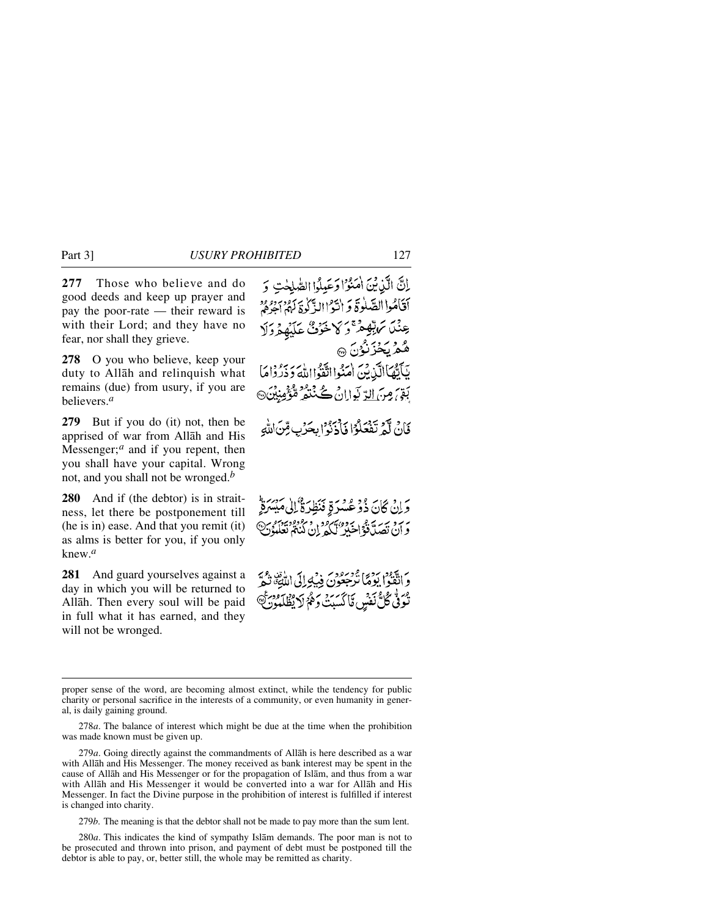**277** Those who believe and do good deeds and keep up prayer and pay the poor-rate — their reward is with their Lord; and they have no fear, nor shall they grieve.

**278** O you who believe, keep your duty to Allåh and relinquish what remains (due) from usury, if you are believers.*<sup>a</sup>*

**279** But if you do (it) not, then be apprised of war from Allåh and His Messenger;<sup>*a*</sup> and if you repent, then you shall have your capital. Wrong not, and you shall not be wronged.*<sup>b</sup>*

**280** And if (the debtor) is in straitness, let there be postponement till (he is in) ease. And that you remit (it) as alms is better for you, if you only knew.*<sup>a</sup>*

**281** And guard yourselves against a day in which you will be returned to Allåh. Then every soul will be paid in full what it has earned, and they will not be wronged.

279*a*. Going directly against the commandments of Allåh is here described as a war with Allåh and His Messenger. The money received as bank interest may be spent in the cause of Allåh and His Messenger or for the propagation of Islåm, and thus from a war with Allåh and His Messenger it would be converted into a war for Allåh and His Messenger. In fact the Divine purpose in the prohibition of interest is fulfilled if interest is changed into charity.

279*b*. The meaning is that the debtor shall not be made to pay more than the sum lent.

280*a*. This indicates the kind of sympathy Islåm demands. The poor man is not to be prosecuted and thrown into prison, and payment of debt must be postponed till the debtor is able to pay, or, better still, the whole may be remitted as charity.

إِنَّ الَّذِينَ اٰمَنُوْا وَعَبِيلُوا الصَّلَحْتِ وَ أقامُوا الصَّلُوةَ وَ انْتَوْاالذَّكُوةَ لَهُمْ اجِرْهُمْ



وَإِنْ كَانَ ذُوْعُسْرَةٍ فَنَظِرَةٌ إِلَىٰ مَدِّ بر به به به به برده بهرود و رفزود.<br>و آن تصدیقی اخیر کنگه ان کنگه تعلّله

مَ تَقْوَدُ رَدِيَّ فَوَسُودِيَّ فِيَكَ إِلَى اللَّهِ بِّهِ ۖ<br>وَ انْقُواْ يَوْمَا تَرْجَعُونَ فِيَكِ إِلَى اللَّهَ تُوَفَّى كُلُّ نَفْسٍ مَّا كَسَبَتْ وَهُمْ لَا يُظْلَمُوْنَ ﴾

proper sense of the word, are becoming almost extinct, while the tendency for public charity or personal sacrifice in the interests of a community, or even humanity in general, is daily gaining ground.

<sup>278</sup>*a*. The balance of interest which might be due at the time when the prohibition was made known must be given up.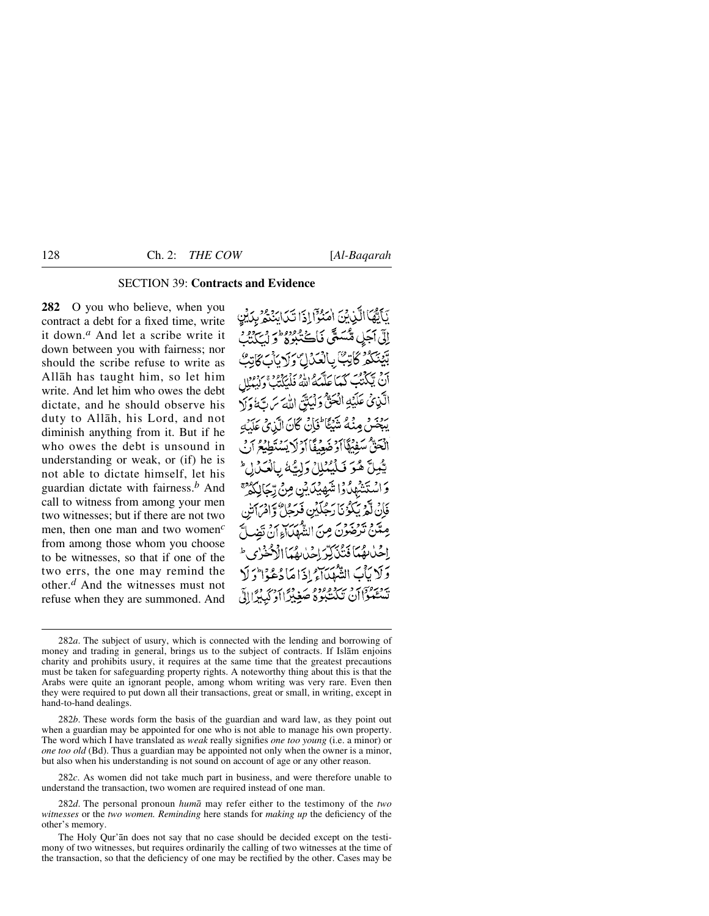## SECTION 39: **Contracts and Evidence**

**282** O you who believe, when you contract a debt for a fixed time, write it down.*<sup>a</sup>* And let a scribe write it down between you with fairness; nor should the scribe refuse to write as Allåh has taught him, so let him write. And let him who owes the debt dictate, and he should observe his duty to Allåh, his Lord, and not diminish anything from it. But if he who owes the debt is unsound in understanding or weak, or (if) he is not able to dictate himself, let his guardian dictate with fairness.*<sup>b</sup>* And call to witness from among your men two witnesses; but if there are not two men, then one man and two women*<sup>c</sup>* from among those whom you choose to be witnesses, so that if one of the two errs, the one may remind the other.*<sup>d</sup>* And the witnesses must not refuse when they are summoned. And

يَآلِّهَا الَّذِينَ اهْتَوْا ذَا تَيَابَدَّهُمْ بِدَيْرِ إِلَّي أَجَلٍ مُنْسَدَّي فَأَڪْبِدُوهِ وَسَرْدِهِ وَسَرْوِهِ وَ بِّئْنِيَكُمْ كَأَبْتُ بِالْعَدَالِ وَلَا أَنْ يَكَذَّبْتَ كَيَا عَلَيْهِ وَإِذْ وَإِ الَّذِيْ عَلَيۡهِ الۡحَقُّ وَلَٰٓئَةٌ ۚ اللَّهَ روبر ديدو من الماضي گان الَّذِي عَلَيْهِ انْحَقّْ سَفِيْھًا آدْ ضَعِيفًا آدْ لَا يَسْتَع بِيُّعِلَّ هُوَ فَيَنْهُمْلاً وَلِسُّهُ بِالْعَيْدِا لِمَ وَالْمِنْتَشْهَدُوْا مْنْبَصِبْنَا نْنِي مِنْ تِيجَالِكُوْمَ فَإِنْ لَعْ يَبْكُوْنَا رَجُلَلُنِ فَدَجًا ۚ وَإِدْ مِیْکِنْ تَدْخُبُوْنَ مِ نَ النُّكُمْهَدَاءِ أَنَّ تَضْ اخْبابِقْيَا فَيَبْيَ يَبْسَ اجْرَارِهُ يَا ٱلْجَنْحَ بِي ط وَلَا يَأْبَ الشَّهْدَاءُ إِذَا مَا دُعْدُا وَلَا يَسْتَعْبُواْنَ تَكَدَّبُوهُ صَغِيْرًا أَدْيَدَ ٱللَّهِ ٱلَّ

282*c*. As women did not take much part in business, and were therefore unable to understand the transaction, two women are required instead of one man.

<sup>282</sup>*a*. The subject of usury, which is connected with the lending and borrowing of money and trading in general, brings us to the subject of contracts. If Islåm enjoins charity and prohibits usury, it requires at the same time that the greatest precautions must be taken for safeguarding property rights. A noteworthy thing about this is that the Arabs were quite an ignorant people, among whom writing was very rare. Even then they were required to put down all their transactions, great or small, in writing, except in hand-to-hand dealings.

<sup>282</sup>*b*. These words form the basis of the guardian and ward law, as they point out when a guardian may be appointed for one who is not able to manage his own property. The word which I have translated as *weak* really signifies *one too young* (i.e. a minor) or *one too old* (Bd). Thus a guardian may be appointed not only when the owner is a minor, but also when his understanding is not sound on account of age or any other reason.

<sup>282</sup>*d*. The personal pronoun *humå* may refer either to the testimony of the *two witnesses* or the *two women. Reminding* here stands for *making up* the deficiency of the other's memory.

The Holy Qur'ån does not say that no case should be decided except on the testimony of two witnesses, but requires ordinarily the calling of two witnesses at the time of the transaction, so that the deficiency of one may be rectified by the other. Cases may be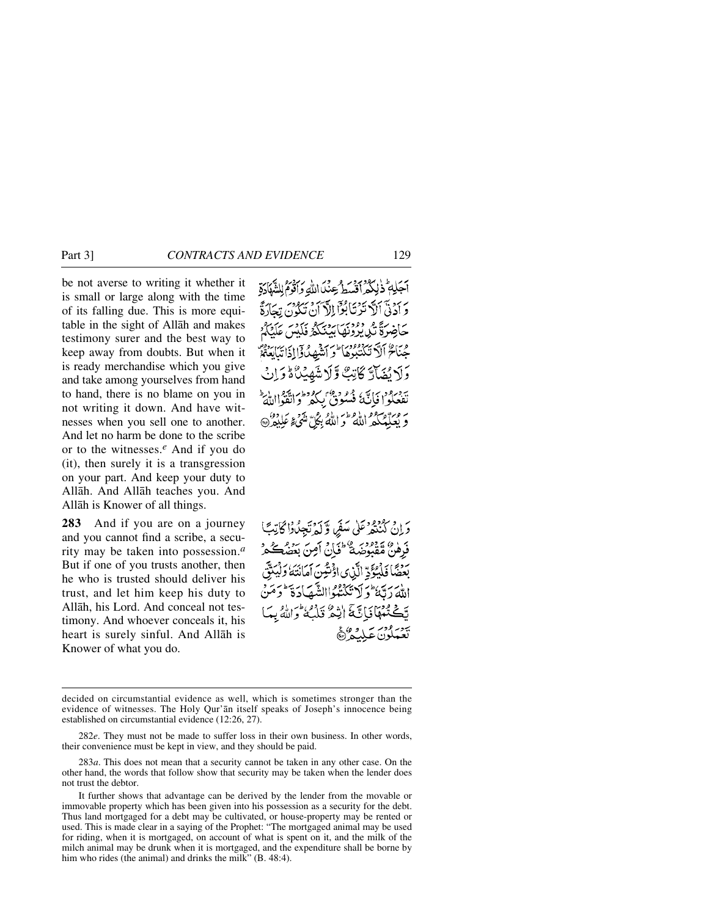be not averse to writing it whether it is small or large along with the time of its falling due. This is more equitable in the sight of Allåh and makes testimony surer and the best way to keep away from doubts. But when it is ready merchandise which you give and take among yourselves from hand to hand, there is no blame on you in not writing it down. And have witnesses when you sell one to another. And let no harm be done to the scribe or to the witnesses.*<sup>e</sup>* And if you do (it), then surely it is a transgression on your part. And keep your duty to Allåh. And Allåh teaches you. And Allåh is Knower of all things.

**283** And if you are on a journey and you cannot find a scribe, a security may be taken into possession.*<sup>a</sup>* But if one of you trusts another, then he who is trusted should deliver his trust, and let him keep his duty to Allåh, his Lord. And conceal not testimony. And whoever conceals it, his heart is surely sinful. And Allåh is Knower of what you do.

أَجَلِهِمْ ذٰلِكُمْ أَقْسَطُ عِنْدَ اللَّهِ وَأَقْوَمُ لِلشَّهَادَةِ بِرِ بِرَدِيَّ ٱللَّهُ تَدْنَا بُوَّا إِلَهَ أَيْنَ وَسَيَوْمٍ بِيَجَادَةً ئەدەم دەمىيە بەدىيە ئەدىرى<br>يىچاخىرة بەر دىقابىنىڭ فېلس غا جُنَاحٌ أَلَّا تَكَتَبُوهَا ۖ وَأَنَثَّهِهُدُوْٓا إِذَاتَهَا يَنَايَنُّهُمْ وَلَا نُضَآَتَهُ كَاتِبٌ وَلَا شَهِئْنَاهُ وَإِ يجزءون تكديم وجبه سروطن تيون يطرط مَّ مِمَدَّدْ مَعْ اللَّهُ ۖ وَ اللَّهُ بِكُلَّ مَنْهَى ۚ عَلِيْهِ ۖ وَلَا يَدَمَّ

وَإِنْ كَنْنَغُرْ عَلَى سَفَرٍ، وَلَهُ نَجِبُدُوْا كَاتِبَتَا دَ ٥ » وودبر و وي :<br>فَرَهْنَ مُقْبَوضِيَّةٌ فَخَانَ أَمِنَ بَعَضَة بَعْضًا فَلْمُكَنَّ ٱلَّذِي ادْنَتُينَ بو أحتَكَتْتُ االشَّصَادَةَ فِيهِمَا فَبَاتَنَةَ اٰنِيْثَةً وَاللَّهُ بِيَا

decided on circumstantial evidence as well, which is sometimes stronger than the evidence of witnesses. The Holy Qur'ån itself speaks of Joseph's innocence being established on circumstantial evidence (12:26, 27).

<sup>282</sup>*e*. They must not be made to suffer loss in their own business. In other words, their convenience must be kept in view, and they should be paid.

<sup>283</sup>*a*. This does not mean that a security cannot be taken in any other case. On the other hand, the words that follow show that security may be taken when the lender does not trust the debtor.

It further shows that advantage can be derived by the lender from the movable or immovable property which has been given into his possession as a security for the debt. Thus land mortgaged for a debt may be cultivated, or house-property may be rented or used. This is made clear in a saying of the Prophet: "The mortgaged animal may be used for riding, when it is mortgaged, on account of what is spent on it, and the milk of the milch animal may be drunk when it is mortgaged, and the expenditure shall be borne by him who rides (the animal) and drinks the milk" (B. 48:4).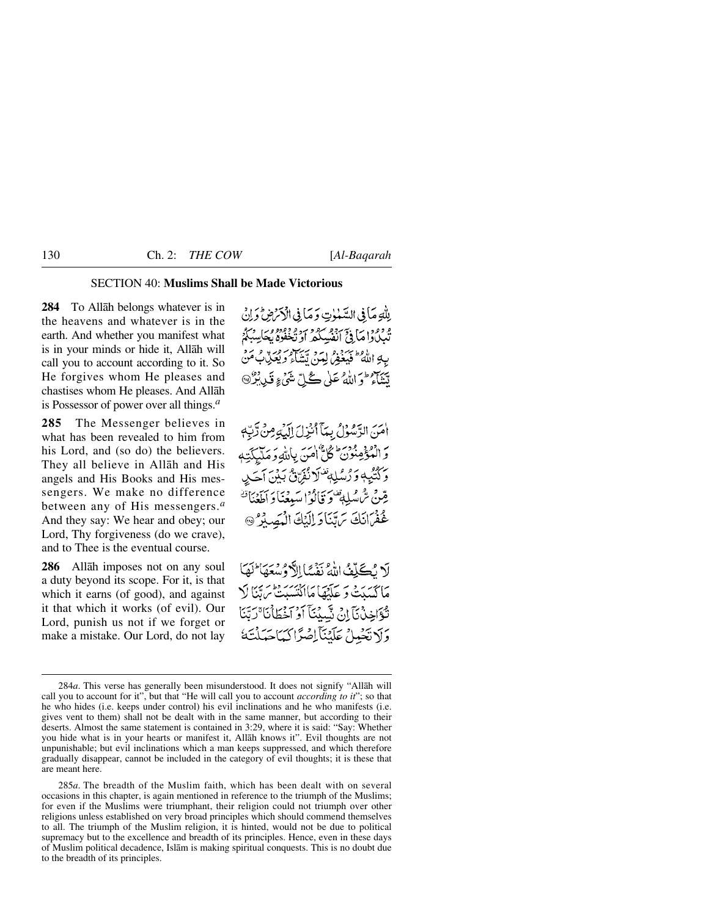## SECTION 40: **Muslims Shall be Made Victorious**

**284** To Allåh belongs whatever is in the heavens and whatever is in the earth. And whether you manifest what is in your minds or hide it, Allåh will call you to account according to it. So He forgives whom He pleases and chastises whom He pleases. And Allåh is Possessor of power over all things.*<sup>a</sup>*

**285** The Messenger believes in what has been revealed to him from his Lord, and (so do) the believers. They all believe in Allåh and His angels and His Books and His messengers. We make no difference between any of His messengers.*<sup>a</sup>* And they say: We hear and obey; our Lord, Thy forgiveness (do we crave), and to Thee is the eventual course.

**286** Allåh imposes not on any soul a duty beyond its scope. For it, is that which it earns (of good), and against it that which it works (of evil). Our Lord, punish us not if we forget or make a mistake. Our Lord, do not lay لِلْهِ مَأْ فِي السَّعْوٰتِ وَمَأْ فِي الْأَمْرُضِ وَإِنْ ۾ دور پيءَ سوءِ سوءِ وووووڪ سگر<br>ٽيباداواها في انفسڪھ او تخفوه پڪاسيگر بِهِ اللَّهُ ۖ فَيَبِغِمْ لِهَنَّ تَسْأَءُ وَيُعَذِّبُ مَنْ يَّنَهُمْ وَاللَّهُ عَلَى كُلِّ شَيْءٍ قَدِيْرٌ۞

أَمَنَ الرَّسُوۡلُ بِمَآ أَنۡزِلَ إِلَيٰۡٓءٍ مِنۡ رَّبِّهٖ وَالْمُؤْمِنُونَ كُلُّ امَنَ بِاللّهِ وَمَلَّيِكَتِهِ وَكَتَّيْهِ وَرُسُلِهِ تَنْزَلُّ نُفِنَ ثَبَيْنَ أَحَدِ قِينْ تَرَّهْ مُلِهَةٌ وَ وَأَلُوا سَبِعْنَا وَ أَطْعَنَا تَهُ عُفْرَانَكَ يَرَبَّنَا وَ الْبَكَ الْمَصِيْرُ @

لَا يُكَلِّفُ اللَّهُ نَفْسًا الْكُوْسُعَهَا لَهَا مَاكْتَبَيْتَ وَ عَلَيْهَا مَااِنْتَسَبَتْ تَرَيَّنَا لَا نْكَوَاخِذْنَآ إِنْ نَسْبِدُنَآ أَوْ أَخْطَأْنَا ْرَتَنَا وَلَا تَجْهِلْ عَلَيْنَآ اِصْرًا كَيَاجَهَلْنَهُ

285*a*. The breadth of the Muslim faith, which has been dealt with on several occasions in this chapter, is again mentioned in reference to the triumph of the Muslims; for even if the Muslims were triumphant, their religion could not triumph over other religions unless established on very broad principles which should commend themselves to all. The triumph of the Muslim religion, it is hinted, would not be due to political supremacy but to the excellence and breadth of its principles. Hence, even in these days of Muslim political decadence, Islåm is making spiritual conquests. This is no doubt due to the breadth of its principles.

<sup>284</sup>*a*. This verse has generally been misunderstood. It does not signify "Allåh will call you to account for it", but that "He will call you to account *according to it*"; so that he who hides (i.e. keeps under control) his evil inclinations and he who manifests (i.e. gives vent to them) shall not be dealt with in the same manner, but according to their deserts. Almost the same statement is contained in 3:29, where it is said: "Say: Whether you hide what is in your hearts or manifest it, Allåh knows it". Evil thoughts are not unpunishable; but evil inclinations which a man keeps suppressed, and which therefore gradually disappear, cannot be included in the category of evil thoughts; it is these that are meant here.